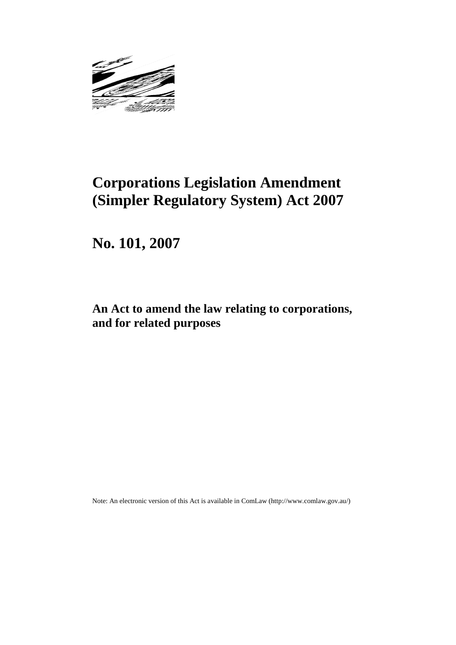

# **Corporations Legislation Amendment (Simpler Regulatory System) Act 2007**

**No. 101, 2007** 

## **An Act to amend the law relating to corporations, and for related purposes**

Note: An electronic version of this Act is available in ComLaw (http://www.comlaw.gov.au/)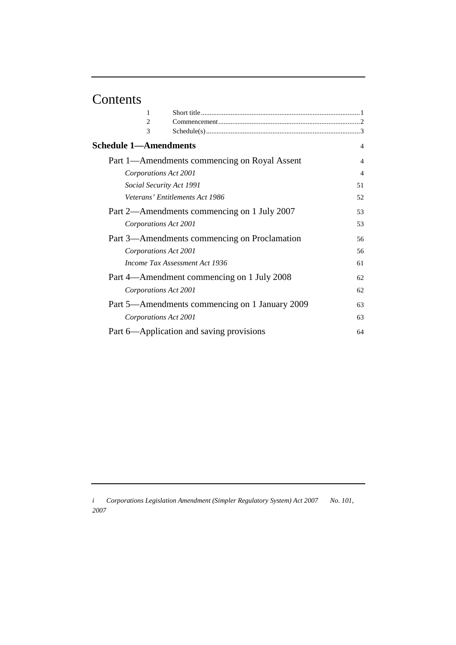# Contents

| 1                            |                                                |                |
|------------------------------|------------------------------------------------|----------------|
| $\overline{c}$               |                                                |                |
| 3                            |                                                |                |
| <b>Schedule 1-Amendments</b> |                                                | $\overline{4}$ |
|                              | Part 1—Amendments commencing on Royal Assent   | 4              |
| Corporations Act 2001        |                                                | $\overline{4}$ |
| Social Security Act 1991     |                                                | 51             |
|                              | Veterans' Entitlements Act 1986                | 52             |
|                              | Part 2—Amendments commencing on 1 July 2007    | 53             |
| Corporations Act 2001        |                                                | 53             |
|                              | Part 3—Amendments commencing on Proclamation   | 56             |
| Corporations Act 2001        |                                                | 56             |
|                              | Income Tax Assessment Act 1936                 | 61             |
|                              | Part 4—Amendment commencing on 1 July 2008     | 62             |
| Corporations Act 2001        |                                                | 62             |
|                              | Part 5—Amendments commencing on 1 January 2009 | 63             |
| Corporations Act 2001        |                                                | 63             |
|                              | Part 6—Application and saving provisions       | 64             |

*i Corporations Legislation Amendment (Simpler Regulatory System) Act 2007 No. 101, 2007*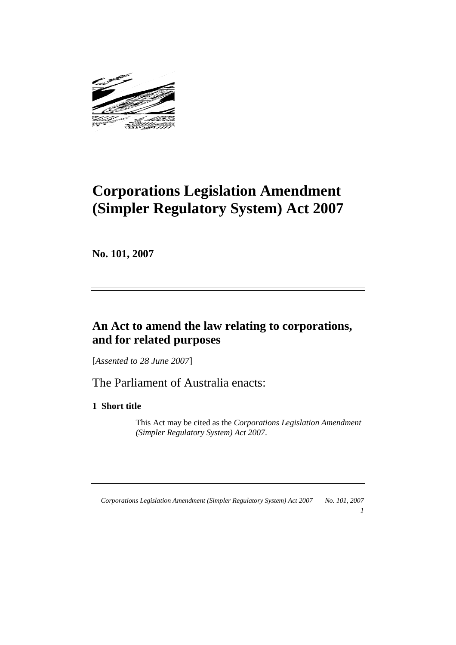

# **Corporations Legislation Amendment (Simpler Regulatory System) Act 2007**

**No. 101, 2007** 

## **An Act to amend the law relating to corporations, and for related purposes**

[*Assented to 28 June 2007*]

The Parliament of Australia enacts:

**1 Short title** 

 This Act may be cited as the *Corporations Legislation Amendment (Simpler Regulatory System) Act 2007*.

*1*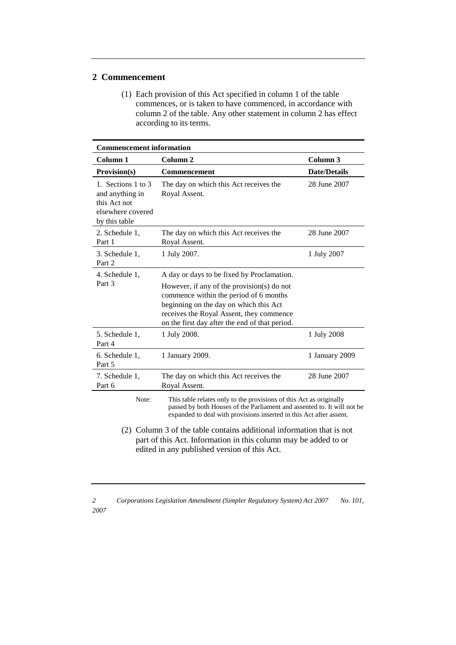## **2 Commencement**

 (1) Each provision of this Act specified in column 1 of the table commences, or is taken to have commenced, in accordance with column 2 of the table. Any other statement in column 2 has effect according to its terms.

| <b>Commencement information</b>                                                                                                                                                          |                                                                                                                                                                                                                              |                     |  |
|------------------------------------------------------------------------------------------------------------------------------------------------------------------------------------------|------------------------------------------------------------------------------------------------------------------------------------------------------------------------------------------------------------------------------|---------------------|--|
| Column <sub>1</sub>                                                                                                                                                                      | Column <sub>2</sub>                                                                                                                                                                                                          | Column 3            |  |
| Provision(s)                                                                                                                                                                             | <b>Commencement</b>                                                                                                                                                                                                          | <b>Date/Details</b> |  |
| 1. Sections 1 to 3<br>and anything in<br>this Act not<br>elsewhere covered<br>by this table                                                                                              | The day on which this Act receives the<br>Royal Assent.                                                                                                                                                                      | 28 June 2007        |  |
| 2. Schedule 1,<br>Part 1                                                                                                                                                                 | The day on which this Act receives the<br>Royal Assent.                                                                                                                                                                      | 28 June 2007        |  |
| 3. Schedule 1,<br>Part 2                                                                                                                                                                 | 1 July 2007.                                                                                                                                                                                                                 | 1 July 2007         |  |
| 4. Schedule 1,                                                                                                                                                                           | A day or days to be fixed by Proclamation.                                                                                                                                                                                   |                     |  |
| Part 3                                                                                                                                                                                   | However, if any of the provision(s) do not<br>commence within the period of 6 months<br>beginning on the day on which this Act<br>receives the Royal Assent, they commence<br>on the first day after the end of that period. |                     |  |
| 5. Schedule 1,<br>Part 4                                                                                                                                                                 | 1 July 2008.                                                                                                                                                                                                                 | 1 July 2008         |  |
| 6. Schedule 1,<br>Part 5                                                                                                                                                                 | 1 January 2009.                                                                                                                                                                                                              | 1 January 2009      |  |
| 7. Schedule 1,<br>Part 6                                                                                                                                                                 | The day on which this Act receives the<br>Royal Assent.                                                                                                                                                                      | 28 June 2007        |  |
| Note:                                                                                                                                                                                    | This table relates only to the provisions of this Act as originally<br>passed by both Houses of the Parliament and assented to. It will not be<br>expanded to deal with provisions inserted in this Act after assent.        |                     |  |
| (2) Column 3 of the table contains additional information that is not<br>part of this Act. Information in this column may be added to or<br>edited in any published version of this Act. |                                                                                                                                                                                                                              |                     |  |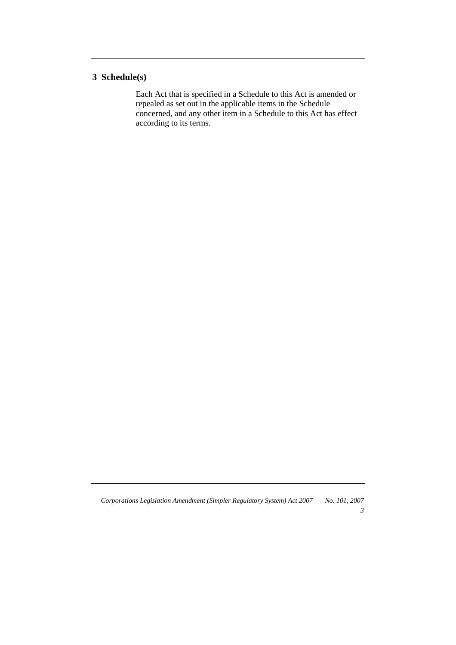## **3 Schedule(s)**

 Each Act that is specified in a Schedule to this Act is amended or repealed as set out in the applicable items in the Schedule concerned, and any other item in a Schedule to this Act has effect according to its terms.

*Corporations Legislation Amendment (Simpler Regulatory System) Act 2007 No. 101, 2007* 

*3*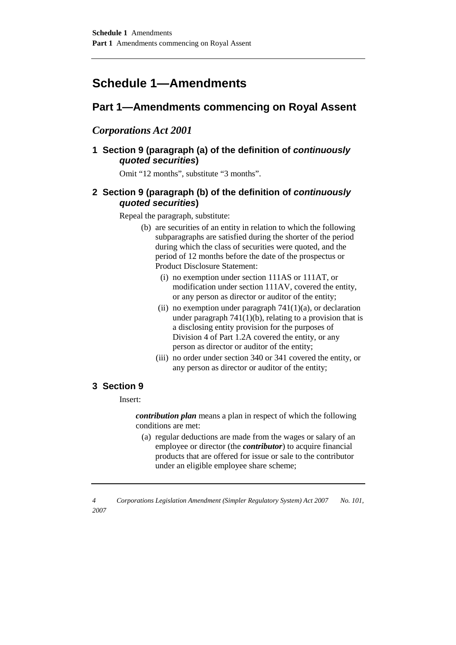## **Schedule 1—Amendments**

## **Part 1—Amendments commencing on Royal Assent**

## *Corporations Act 2001*

## **1 Section 9 (paragraph (a) of the definition of continuously quoted securities)**

Omit "12 months", substitute "3 months".

## **2 Section 9 (paragraph (b) of the definition of continuously quoted securities)**

Repeal the paragraph, substitute:

- (b) are securities of an entity in relation to which the following subparagraphs are satisfied during the shorter of the period during which the class of securities were quoted, and the period of 12 months before the date of the prospectus or Product Disclosure Statement:
	- (i) no exemption under section 111AS or 111AT, or modification under section 111AV, covered the entity, or any person as director or auditor of the entity;
	- (ii) no exemption under paragraph  $741(1)(a)$ , or declaration under paragraph  $741(1)(b)$ , relating to a provision that is a disclosing entity provision for the purposes of Division 4 of Part 1.2A covered the entity, or any person as director or auditor of the entity;
	- (iii) no order under section 340 or 341 covered the entity, or any person as director or auditor of the entity;

### **3 Section 9**

Insert:

*contribution plan* means a plan in respect of which the following conditions are met:

(a) regular deductions are made from the wages or salary of an employee or director (the *contributor*) to acquire financial products that are offered for issue or sale to the contributor under an eligible employee share scheme;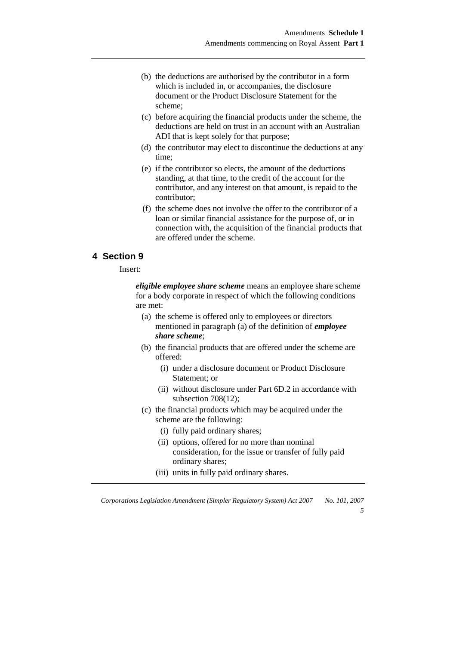- (b) the deductions are authorised by the contributor in a form which is included in, or accompanies, the disclosure document or the Product Disclosure Statement for the scheme;
- (c) before acquiring the financial products under the scheme, the deductions are held on trust in an account with an Australian ADI that is kept solely for that purpose;
- (d) the contributor may elect to discontinue the deductions at any time;
- (e) if the contributor so elects, the amount of the deductions standing, at that time, to the credit of the account for the contributor, and any interest on that amount, is repaid to the contributor;
- (f) the scheme does not involve the offer to the contributor of a loan or similar financial assistance for the purpose of, or in connection with, the acquisition of the financial products that are offered under the scheme.

## **4 Section 9**

Insert:

*eligible employee share scheme* means an employee share scheme for a body corporate in respect of which the following conditions are met:

- (a) the scheme is offered only to employees or directors mentioned in paragraph (a) of the definition of *employee share scheme*;
- (b) the financial products that are offered under the scheme are offered:
	- (i) under a disclosure document or Product Disclosure Statement; or
	- (ii) without disclosure under Part 6D.2 in accordance with subsection 708(12);
- (c) the financial products which may be acquired under the scheme are the following:
	- (i) fully paid ordinary shares;
	- (ii) options, offered for no more than nominal consideration, for the issue or transfer of fully paid ordinary shares;

*5* 

(iii) units in fully paid ordinary shares.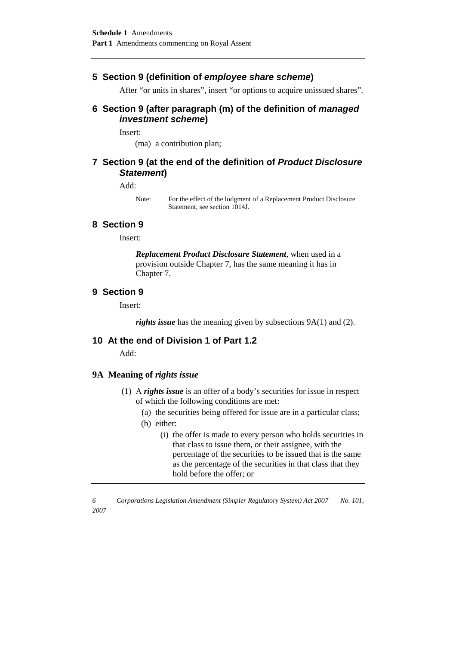## **5 Section 9 (definition of employee share scheme)**

After "or units in shares", insert "or options to acquire unissued shares".

## **6 Section 9 (after paragraph (m) of the definition of managed investment scheme)**

Insert:

(ma) a contribution plan;

## **7 Section 9 (at the end of the definition of Product Disclosure Statement)**

#### Add:

Note: For the effect of the lodgment of a Replacement Product Disclosure Statement, see section 1014J.

#### **8 Section 9**

Insert:

*Replacement Product Disclosure Statement*, when used in a provision outside Chapter 7, has the same meaning it has in Chapter 7.

#### **9 Section 9**

Insert:

*rights issue* has the meaning given by subsections 9A(1) and (2).

### **10 At the end of Division 1 of Part 1.2**

Add:

#### **9A Meaning of** *rights issue*

- (1) A *rights issue* is an offer of a body's securities for issue in respect of which the following conditions are met:
	- (a) the securities being offered for issue are in a particular class;
	- (b) either:
		- (i) the offer is made to every person who holds securities in that class to issue them, or their assignee, with the percentage of the securities to be issued that is the same as the percentage of the securities in that class that they hold before the offer; or

*<sup>6</sup> Corporations Legislation Amendment (Simpler Regulatory System) Act 2007 No. 101, 2007*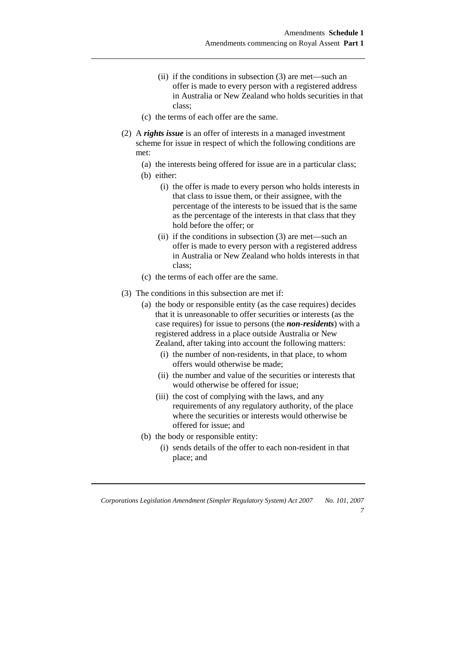- (ii) if the conditions in subsection (3) are met—such an offer is made to every person with a registered address in Australia or New Zealand who holds securities in that class;
- (c) the terms of each offer are the same.
- (2) A *rights issue* is an offer of interests in a managed investment scheme for issue in respect of which the following conditions are met:
	- (a) the interests being offered for issue are in a particular class;
	- (b) either:
		- (i) the offer is made to every person who holds interests in that class to issue them, or their assignee, with the percentage of the interests to be issued that is the same as the percentage of the interests in that class that they hold before the offer; or
		- (ii) if the conditions in subsection (3) are met—such an offer is made to every person with a registered address in Australia or New Zealand who holds interests in that class;
	- (c) the terms of each offer are the same.
- (3) The conditions in this subsection are met if:
	- (a) the body or responsible entity (as the case requires) decides that it is unreasonable to offer securities or interests (as the case requires) for issue to persons (the *non-residents*) with a registered address in a place outside Australia or New Zealand, after taking into account the following matters:
		- (i) the number of non-residents, in that place, to whom offers would otherwise be made;
		- (ii) the number and value of the securities or interests that would otherwise be offered for issue;
		- (iii) the cost of complying with the laws, and any requirements of any regulatory authority, of the place where the securities or interests would otherwise be offered for issue; and
	- (b) the body or responsible entity:
		- (i) sends details of the offer to each non-resident in that place; and

*Corporations Legislation Amendment (Simpler Regulatory System) Act 2007 No. 101, 2007* 

*7*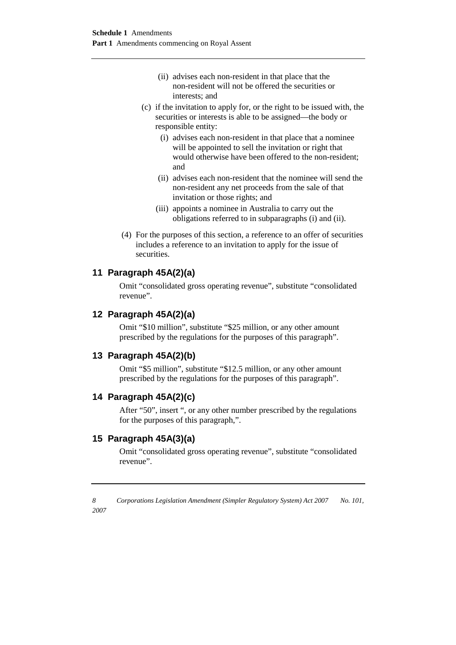- (ii) advises each non-resident in that place that the non-resident will not be offered the securities or interests; and
- (c) if the invitation to apply for, or the right to be issued with, the securities or interests is able to be assigned—the body or responsible entity:
	- (i) advises each non-resident in that place that a nominee will be appointed to sell the invitation or right that would otherwise have been offered to the non-resident; and
	- (ii) advises each non-resident that the nominee will send the non-resident any net proceeds from the sale of that invitation or those rights; and
	- (iii) appoints a nominee in Australia to carry out the obligations referred to in subparagraphs (i) and (ii).
- (4) For the purposes of this section, a reference to an offer of securities includes a reference to an invitation to apply for the issue of securities.

## **11 Paragraph 45A(2)(a)**

Omit "consolidated gross operating revenue", substitute "consolidated revenue".

### **12 Paragraph 45A(2)(a)**

Omit "\$10 million", substitute "\$25 million, or any other amount prescribed by the regulations for the purposes of this paragraph".

### **13 Paragraph 45A(2)(b)**

Omit "\$5 million", substitute "\$12.5 million, or any other amount prescribed by the regulations for the purposes of this paragraph".

### **14 Paragraph 45A(2)(c)**

After "50", insert ", or any other number prescribed by the regulations for the purposes of this paragraph,".

## **15 Paragraph 45A(3)(a)**

Omit "consolidated gross operating revenue", substitute "consolidated revenue".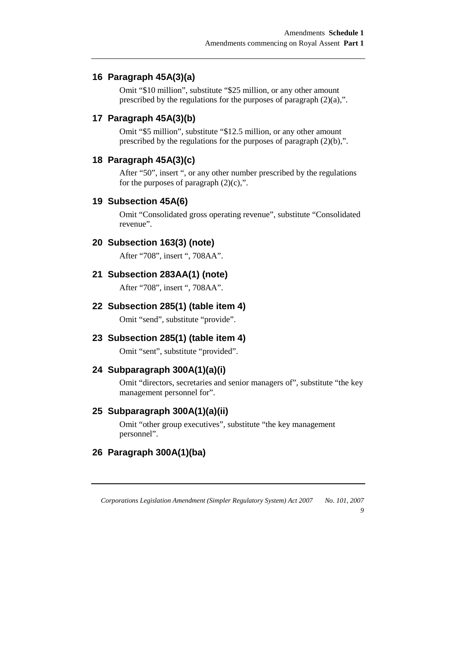## **16 Paragraph 45A(3)(a)**

Omit "\$10 million", substitute "\$25 million, or any other amount prescribed by the regulations for the purposes of paragraph (2)(a),".

## **17 Paragraph 45A(3)(b)**

Omit "\$5 million", substitute "\$12.5 million, or any other amount prescribed by the regulations for the purposes of paragraph (2)(b),".

#### **18 Paragraph 45A(3)(c)**

After "50", insert ", or any other number prescribed by the regulations for the purposes of paragraph  $(2)(c)$ ,".

#### **19 Subsection 45A(6)**

Omit "Consolidated gross operating revenue", substitute "Consolidated revenue".

### **20 Subsection 163(3) (note)**

After "708", insert ", 708AA".

#### **21 Subsection 283AA(1) (note)**

After "708", insert ", 708AA".

#### **22 Subsection 285(1) (table item 4)**

Omit "send", substitute "provide".

### **23 Subsection 285(1) (table item 4)**

Omit "sent", substitute "provided".

## **24 Subparagraph 300A(1)(a)(i)**

Omit "directors, secretaries and senior managers of", substitute "the key management personnel for".

#### **25 Subparagraph 300A(1)(a)(ii)**

Omit "other group executives", substitute "the key management personnel".

### **26 Paragraph 300A(1)(ba)**

*Corporations Legislation Amendment (Simpler Regulatory System) Act 2007 No. 101, 2007* 

*9*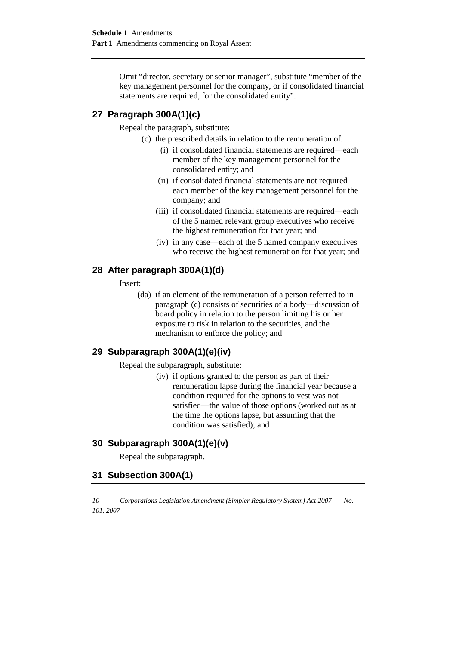Omit "director, secretary or senior manager", substitute "member of the key management personnel for the company, or if consolidated financial statements are required, for the consolidated entity".

## **27 Paragraph 300A(1)(c)**

Repeal the paragraph, substitute:

- (c) the prescribed details in relation to the remuneration of:
	- (i) if consolidated financial statements are required—each member of the key management personnel for the consolidated entity; and
	- (ii) if consolidated financial statements are not required each member of the key management personnel for the company; and
	- (iii) if consolidated financial statements are required—each of the 5 named relevant group executives who receive the highest remuneration for that year; and
	- (iv) in any case—each of the 5 named company executives who receive the highest remuneration for that year; and

### **28 After paragraph 300A(1)(d)**

Insert:

(da) if an element of the remuneration of a person referred to in paragraph (c) consists of securities of a body—discussion of board policy in relation to the person limiting his or her exposure to risk in relation to the securities, and the mechanism to enforce the policy; and

## **29 Subparagraph 300A(1)(e)(iv)**

Repeal the subparagraph, substitute:

(iv) if options granted to the person as part of their remuneration lapse during the financial year because a condition required for the options to vest was not satisfied—the value of those options (worked out as at the time the options lapse, but assuming that the condition was satisfied); and

### **30 Subparagraph 300A(1)(e)(v)**

Repeal the subparagraph.

### **31 Subsection 300A(1)**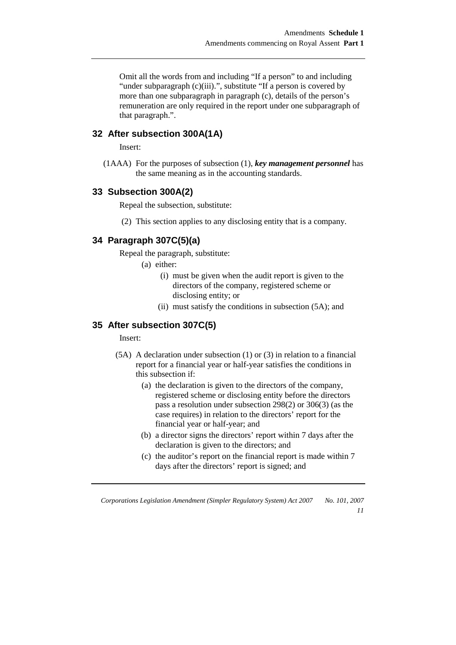Omit all the words from and including "If a person" to and including "under subparagraph (c)(iii).", substitute "If a person is covered by more than one subparagraph in paragraph (c), details of the person's remuneration are only required in the report under one subparagraph of that paragraph.".

## **32 After subsection 300A(1A)**

Insert:

(1AAA) For the purposes of subsection (1), *key management personnel* has the same meaning as in the accounting standards.

## **33 Subsection 300A(2)**

Repeal the subsection, substitute:

(2) This section applies to any disclosing entity that is a company.

## **34 Paragraph 307C(5)(a)**

Repeal the paragraph, substitute:

(a) either:

- (i) must be given when the audit report is given to the directors of the company, registered scheme or disclosing entity; or
- (ii) must satisfy the conditions in subsection (5A); and

### **35 After subsection 307C(5)**

Insert:

- (5A) A declaration under subsection (1) or (3) in relation to a financial report for a financial year or half-year satisfies the conditions in this subsection if:
	- (a) the declaration is given to the directors of the company, registered scheme or disclosing entity before the directors pass a resolution under subsection 298(2) or 306(3) (as the case requires) in relation to the directors' report for the financial year or half-year; and
	- (b) a director signs the directors' report within 7 days after the declaration is given to the directors; and
	- (c) the auditor's report on the financial report is made within 7 days after the directors' report is signed; and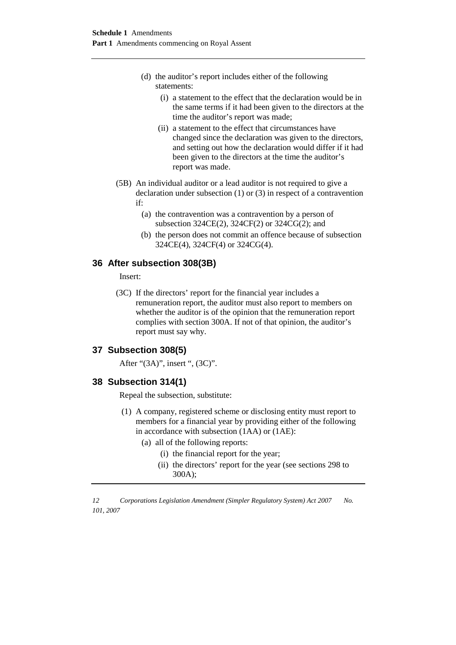- (d) the auditor's report includes either of the following statements:
	- (i) a statement to the effect that the declaration would be in the same terms if it had been given to the directors at the time the auditor's report was made;
	- (ii) a statement to the effect that circumstances have changed since the declaration was given to the directors, and setting out how the declaration would differ if it had been given to the directors at the time the auditor's report was made.
- (5B) An individual auditor or a lead auditor is not required to give a declaration under subsection (1) or (3) in respect of a contravention if:
	- (a) the contravention was a contravention by a person of subsection 324CE(2), 324CF(2) or 324CG(2); and
	- (b) the person does not commit an offence because of subsection 324CE(4), 324CF(4) or 324CG(4).

### **36 After subsection 308(3B)**

Insert:

(3C) If the directors' report for the financial year includes a remuneration report, the auditor must also report to members on whether the auditor is of the opinion that the remuneration report complies with section 300A. If not of that opinion, the auditor's report must say why.

### **37 Subsection 308(5)**

After "(3A)", insert ", (3C)".

### **38 Subsection 314(1)**

Repeal the subsection, substitute:

- (1) A company, registered scheme or disclosing entity must report to members for a financial year by providing either of the following in accordance with subsection (1AA) or (1AE):
	- (a) all of the following reports:
		- (i) the financial report for the year;
		- (ii) the directors' report for the year (see sections 298 to 300A);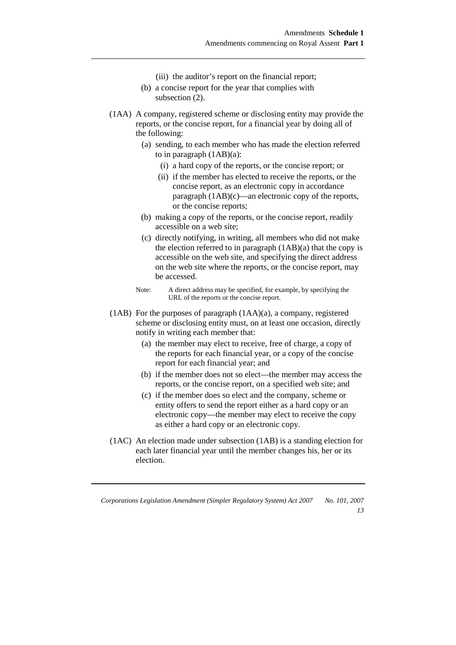- (iii) the auditor's report on the financial report;
- (b) a concise report for the year that complies with subsection  $(2)$ .
- (1AA) A company, registered scheme or disclosing entity may provide the reports, or the concise report, for a financial year by doing all of the following:
	- (a) sending, to each member who has made the election referred to in paragraph (1AB)(a):
		- (i) a hard copy of the reports, or the concise report; or
		- (ii) if the member has elected to receive the reports, or the concise report, as an electronic copy in accordance paragraph (1AB)(c)—an electronic copy of the reports, or the concise reports;
	- (b) making a copy of the reports, or the concise report, readily accessible on a web site;
	- (c) directly notifying, in writing, all members who did not make the election referred to in paragraph  $(1AB)(a)$  that the copy is accessible on the web site, and specifying the direct address on the web site where the reports, or the concise report, may be accessed.
	- Note: A direct address may be specified, for example, by specifying the URL of the reports or the concise report.
- (1AB) For the purposes of paragraph (1AA)(a), a company, registered scheme or disclosing entity must, on at least one occasion, directly notify in writing each member that:
	- (a) the member may elect to receive, free of charge, a copy of the reports for each financial year, or a copy of the concise report for each financial year; and
	- (b) if the member does not so elect—the member may access the reports, or the concise report, on a specified web site; and
	- (c) if the member does so elect and the company, scheme or entity offers to send the report either as a hard copy or an electronic copy—the member may elect to receive the copy as either a hard copy or an electronic copy.
- (1AC) An election made under subsection (1AB) is a standing election for each later financial year until the member changes his, her or its election.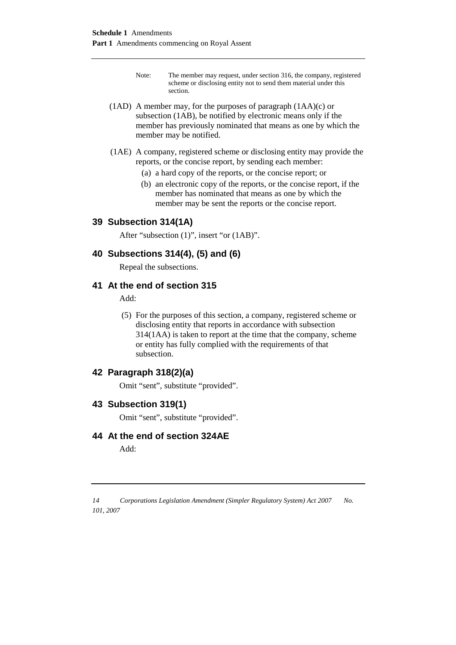- Note: The member may request, under section 316, the company, registered scheme or disclosing entity not to send them material under this section.
- (1AD) A member may, for the purposes of paragraph  $(1AA)(c)$  or subsection (1AB), be notified by electronic means only if the member has previously nominated that means as one by which the member may be notified.
- (1AE) A company, registered scheme or disclosing entity may provide the reports, or the concise report, by sending each member:
	- (a) a hard copy of the reports, or the concise report; or
	- (b) an electronic copy of the reports, or the concise report, if the member has nominated that means as one by which the member may be sent the reports or the concise report.

### **39 Subsection 314(1A)**

After "subsection (1)", insert "or (1AB)".

### **40 Subsections 314(4), (5) and (6)**

Repeal the subsections.

#### **41 At the end of section 315**

Add:

(5) For the purposes of this section, a company, registered scheme or disclosing entity that reports in accordance with subsection 314(1AA) is taken to report at the time that the company, scheme or entity has fully complied with the requirements of that subsection.

### **42 Paragraph 318(2)(a)**

Omit "sent", substitute "provided".

### **43 Subsection 319(1)**

Omit "sent", substitute "provided".

#### **44 At the end of section 324AE**

Add: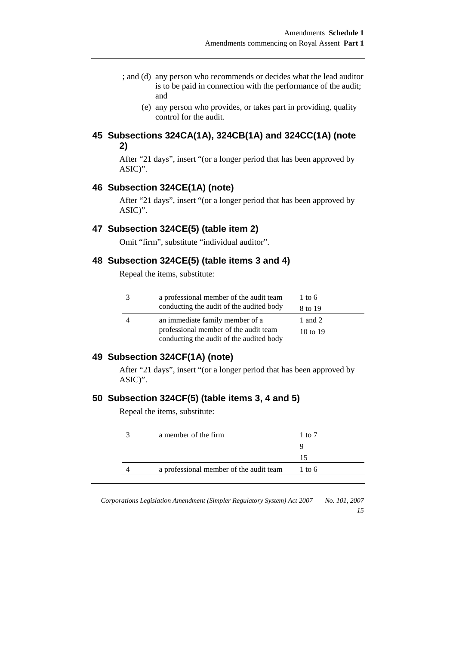- ; and (d) any person who recommends or decides what the lead auditor is to be paid in connection with the performance of the audit; and
	- (e) any person who provides, or takes part in providing, quality control for the audit.

## **45 Subsections 324CA(1A), 324CB(1A) and 324CC(1A) (note 2)**

After "21 days", insert "(or a longer period that has been approved by ASIC)".

#### **46 Subsection 324CE(1A) (note)**

After "21 days", insert "(or a longer period that has been approved by ASIC)".

#### **47 Subsection 324CE(5) (table item 2)**

Omit "firm", substitute "individual auditor".

### **48 Subsection 324CE(5) (table items 3 and 4)**

Repeal the items, substitute:

| 3 | a professional member of the audit team  | 1 to 6   |
|---|------------------------------------------|----------|
|   | conducting the audit of the audited body | 8 to 19  |
| 4 | an immediate family member of a          | 1 and 2  |
|   | professional member of the audit team    | 10 to 19 |
|   | conducting the audit of the audited body |          |

## **49 Subsection 324CF(1A) (note)**

After "21 days", insert "(or a longer period that has been approved by ASIC)".

#### **50 Subsection 324CF(5) (table items 3, 4 and 5)**

Repeal the items, substitute:

| a member of the firm                    | 1 to 7 |
|-----------------------------------------|--------|
|                                         |        |
|                                         | 15     |
| a professional member of the audit team | 1 to 6 |
|                                         |        |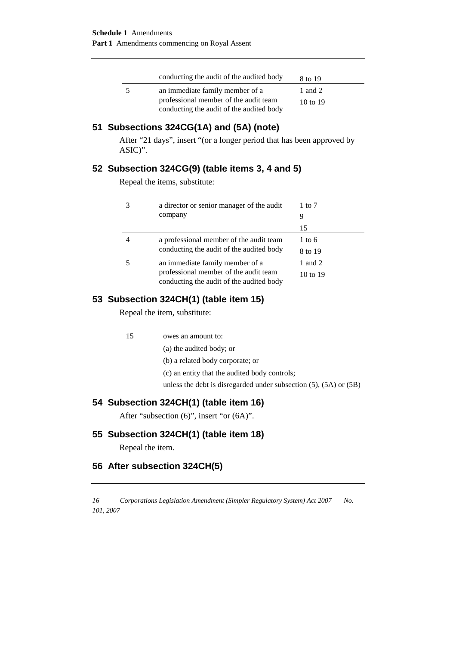| conducting the audit of the audited body | 8 to 19             |
|------------------------------------------|---------------------|
| an immediate family member of a          | 1 and 2             |
| professional member of the audit team    | $10 \text{ to } 19$ |
| conducting the audit of the audited body |                     |

## **51 Subsections 324CG(1A) and (5A) (note)**

After "21 days", insert "(or a longer period that has been approved by ASIC)".

## **52 Subsection 324CG(9) (table items 3, 4 and 5)**

Repeal the items, substitute:

| 3 | a director or senior manager of the audit | 1 to 7            |
|---|-------------------------------------------|-------------------|
|   | company                                   | 9                 |
|   |                                           | 15                |
| 4 | a professional member of the audit team   | $1 \text{ to } 6$ |
|   | conducting the audit of the audited body  | 8 to 19           |
|   | an immediate family member of a           | 1 and 2           |
|   | professional member of the audit team     | 10 to 19          |
|   | conducting the audit of the audited body  |                   |

## **53 Subsection 324CH(1) (table item 15)**

Repeal the item, substitute:

15 owes an amount to:

(a) the audited body; or

(b) a related body corporate; or

(c) an entity that the audited body controls;

unless the debt is disregarded under subsection (5), (5A) or (5B)

### **54 Subsection 324CH(1) (table item 16)**

After "subsection (6)", insert "or (6A)".

## **55 Subsection 324CH(1) (table item 18)**

Repeal the item.

## **56 After subsection 324CH(5)**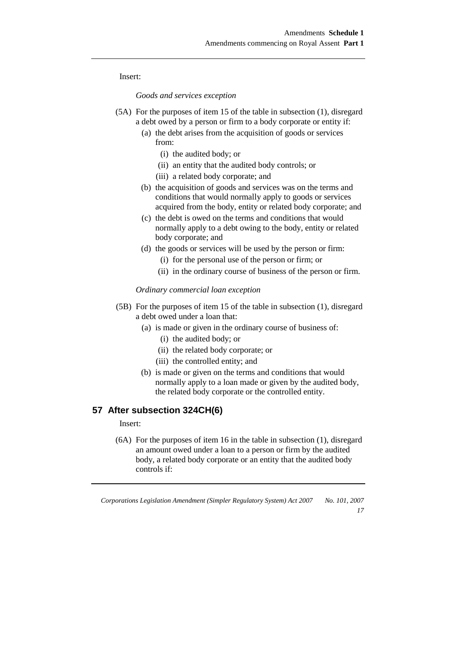Insert:

*Goods and services exception* 

- (5A) For the purposes of item 15 of the table in subsection (1), disregard a debt owed by a person or firm to a body corporate or entity if:
	- (a) the debt arises from the acquisition of goods or services from:
		- (i) the audited body; or
		- (ii) an entity that the audited body controls; or
		- (iii) a related body corporate; and
	- (b) the acquisition of goods and services was on the terms and conditions that would normally apply to goods or services acquired from the body, entity or related body corporate; and
	- (c) the debt is owed on the terms and conditions that would normally apply to a debt owing to the body, entity or related body corporate; and
	- (d) the goods or services will be used by the person or firm:
		- (i) for the personal use of the person or firm; or
		- (ii) in the ordinary course of business of the person or firm.

*Ordinary commercial loan exception* 

- (5B) For the purposes of item 15 of the table in subsection (1), disregard a debt owed under a loan that:
	- (a) is made or given in the ordinary course of business of:
		- (i) the audited body; or
		- (ii) the related body corporate; or
		- (iii) the controlled entity; and
	- (b) is made or given on the terms and conditions that would normally apply to a loan made or given by the audited body, the related body corporate or the controlled entity.

#### **57 After subsection 324CH(6)**

Insert:

(6A) For the purposes of item 16 in the table in subsection (1), disregard an amount owed under a loan to a person or firm by the audited body, a related body corporate or an entity that the audited body controls if:

*Corporations Legislation Amendment (Simpler Regulatory System) Act 2007 No. 101, 2007 17*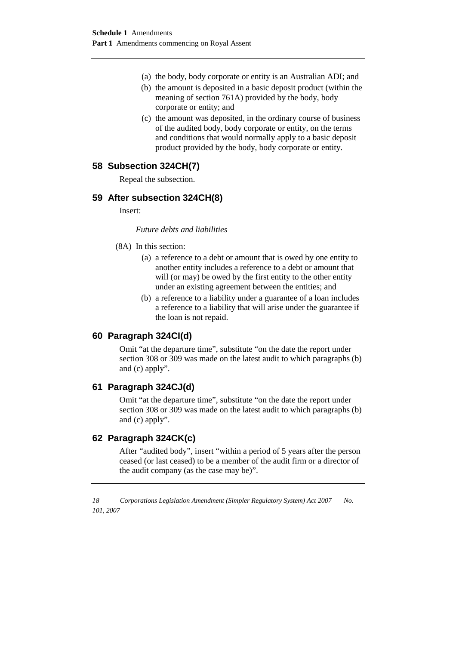- (a) the body, body corporate or entity is an Australian ADI; and
- (b) the amount is deposited in a basic deposit product (within the meaning of section 761A) provided by the body, body corporate or entity; and
- (c) the amount was deposited, in the ordinary course of business of the audited body, body corporate or entity, on the terms and conditions that would normally apply to a basic deposit product provided by the body, body corporate or entity.

## **58 Subsection 324CH(7)**

Repeal the subsection.

### **59 After subsection 324CH(8)**

Insert:

*Future debts and liabilities* 

- (8A) In this section:
	- (a) a reference to a debt or amount that is owed by one entity to another entity includes a reference to a debt or amount that will (or may) be owed by the first entity to the other entity under an existing agreement between the entities; and
	- (b) a reference to a liability under a guarantee of a loan includes a reference to a liability that will arise under the guarantee if the loan is not repaid.

### **60 Paragraph 324CI(d)**

Omit "at the departure time", substitute "on the date the report under section 308 or 309 was made on the latest audit to which paragraphs (b) and (c) apply".

### **61 Paragraph 324CJ(d)**

Omit "at the departure time", substitute "on the date the report under section 308 or 309 was made on the latest audit to which paragraphs (b) and (c) apply".

### **62 Paragraph 324CK(c)**

After "audited body", insert "within a period of 5 years after the person ceased (or last ceased) to be a member of the audit firm or a director of the audit company (as the case may be)".

*<sup>18</sup> Corporations Legislation Amendment (Simpler Regulatory System) Act 2007 No. 101, 2007*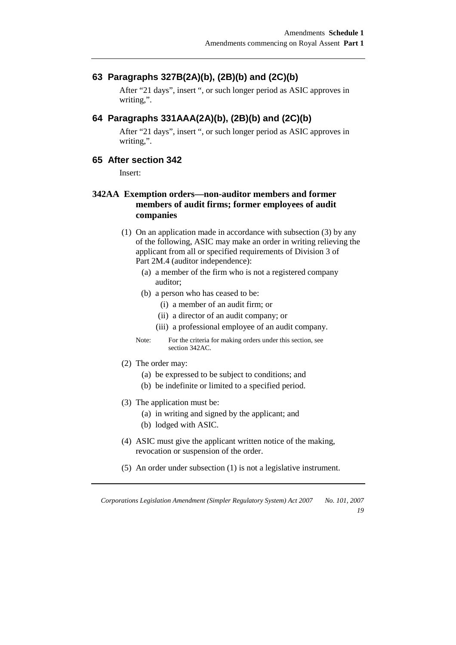## **63 Paragraphs 327B(2A)(b), (2B)(b) and (2C)(b)**

After "21 days", insert ", or such longer period as ASIC approves in writing,".

### **64 Paragraphs 331AAA(2A)(b), (2B)(b) and (2C)(b)**

After "21 days", insert ", or such longer period as ASIC approves in writing,".

## **65 After section 342**

Insert:

## **342AA Exemption orders—non-auditor members and former members of audit firms; former employees of audit companies**

- (1) On an application made in accordance with subsection (3) by any of the following, ASIC may make an order in writing relieving the applicant from all or specified requirements of Division 3 of Part 2M.4 (auditor independence):
	- (a) a member of the firm who is not a registered company auditor;
	- (b) a person who has ceased to be:
		- (i) a member of an audit firm; or
		- (ii) a director of an audit company; or
		- (iii) a professional employee of an audit company.

Note: For the criteria for making orders under this section, see section 342AC.

- (2) The order may:
	- (a) be expressed to be subject to conditions; and
	- (b) be indefinite or limited to a specified period.
- (3) The application must be:
	- (a) in writing and signed by the applicant; and
	- (b) lodged with ASIC.
- (4) ASIC must give the applicant written notice of the making, revocation or suspension of the order.
- (5) An order under subsection (1) is not a legislative instrument.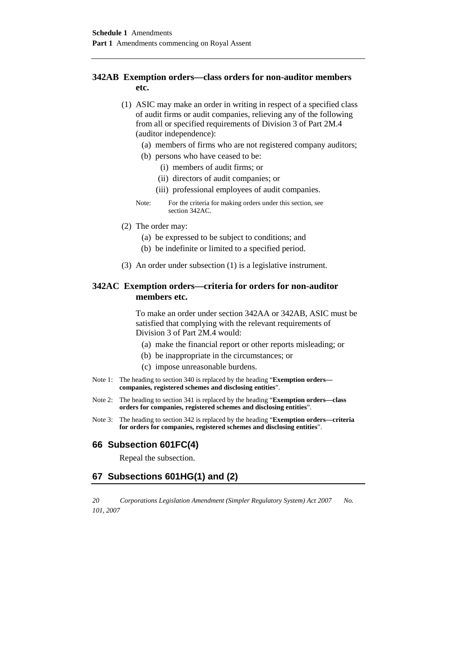#### **342AB Exemption orders—class orders for non-auditor members etc.**

- (1) ASIC may make an order in writing in respect of a specified class of audit firms or audit companies, relieving any of the following from all or specified requirements of Division 3 of Part 2M.4 (auditor independence):
	- (a) members of firms who are not registered company auditors;
	- (b) persons who have ceased to be:
		- (i) members of audit firms; or
		- (ii) directors of audit companies; or
		- (iii) professional employees of audit companies.
	- Note: For the criteria for making orders under this section, see section 342AC.
- (2) The order may:
	- (a) be expressed to be subject to conditions; and
	- (b) be indefinite or limited to a specified period.
- (3) An order under subsection (1) is a legislative instrument.

#### **342AC Exemption orders—criteria for orders for non-auditor members etc.**

 To make an order under section 342AA or 342AB, ASIC must be satisfied that complying with the relevant requirements of Division 3 of Part 2M.4 would:

- (a) make the financial report or other reports misleading; or
- (b) be inappropriate in the circumstances; or
- (c) impose unreasonable burdens.
- Note 1: The heading to section 340 is replaced by the heading "**Exemption orders companies, registered schemes and disclosing entities**".
- Note 2: The heading to section 341 is replaced by the heading "**Exemption orders—class orders for companies, registered schemes and disclosing entities**".
- Note 3: The heading to section 342 is replaced by the heading "**Exemption orders—criteria for orders for companies, registered schemes and disclosing entities**".

#### **66 Subsection 601FC(4)**

Repeal the subsection.

### **67 Subsections 601HG(1) and (2)**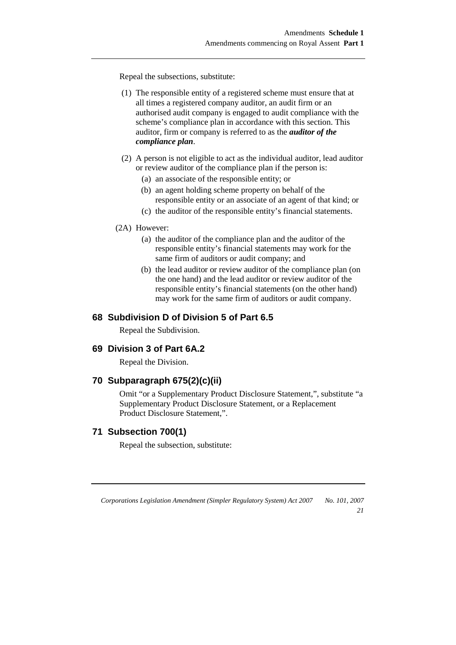Repeal the subsections, substitute:

- (1) The responsible entity of a registered scheme must ensure that at all times a registered company auditor, an audit firm or an authorised audit company is engaged to audit compliance with the scheme's compliance plan in accordance with this section. This auditor, firm or company is referred to as the *auditor of the compliance plan*.
- (2) A person is not eligible to act as the individual auditor, lead auditor or review auditor of the compliance plan if the person is:
	- (a) an associate of the responsible entity; or
	- (b) an agent holding scheme property on behalf of the responsible entity or an associate of an agent of that kind; or
	- (c) the auditor of the responsible entity's financial statements.

#### (2A) However:

- (a) the auditor of the compliance plan and the auditor of the responsible entity's financial statements may work for the same firm of auditors or audit company; and
- (b) the lead auditor or review auditor of the compliance plan (on the one hand) and the lead auditor or review auditor of the responsible entity's financial statements (on the other hand) may work for the same firm of auditors or audit company.

#### **68 Subdivision D of Division 5 of Part 6.5**

Repeal the Subdivision.

#### **69 Division 3 of Part 6A.2**

Repeal the Division.

#### **70 Subparagraph 675(2)(c)(ii)**

Omit "or a Supplementary Product Disclosure Statement,", substitute "a Supplementary Product Disclosure Statement, or a Replacement Product Disclosure Statement,".

## **71 Subsection 700(1)**

Repeal the subsection, substitute:

*Corporations Legislation Amendment (Simpler Regulatory System) Act 2007 No. 101, 2007* 

*21*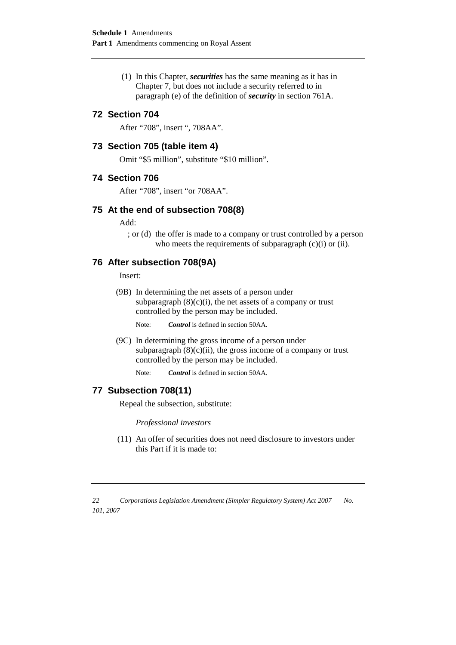(1) In this Chapter, *securities* has the same meaning as it has in Chapter 7, but does not include a security referred to in paragraph (e) of the definition of *security* in section 761A.

#### **72 Section 704**

After "708", insert ", 708AA".

#### **73 Section 705 (table item 4)**

Omit "\$5 million", substitute "\$10 million".

#### **74 Section 706**

After "708", insert "or 708AA".

#### **75 At the end of subsection 708(8)**

Add:

; or (d) the offer is made to a company or trust controlled by a person who meets the requirements of subparagraph  $(c)(i)$  or  $(ii)$ .

#### **76 After subsection 708(9A)**

Insert:

(9B) In determining the net assets of a person under subparagraph  $(8)(c)(i)$ , the net assets of a company or trust controlled by the person may be included.

Note: **Control** is defined in section 50AA.

 (9C) In determining the gross income of a person under subparagraph  $(8)(c)(ii)$ , the gross income of a company or trust controlled by the person may be included.

Note: *Control* is defined in section 50AA.

## **77 Subsection 708(11)**

Repeal the subsection, substitute:

*Professional investors* 

 (11) An offer of securities does not need disclosure to investors under this Part if it is made to: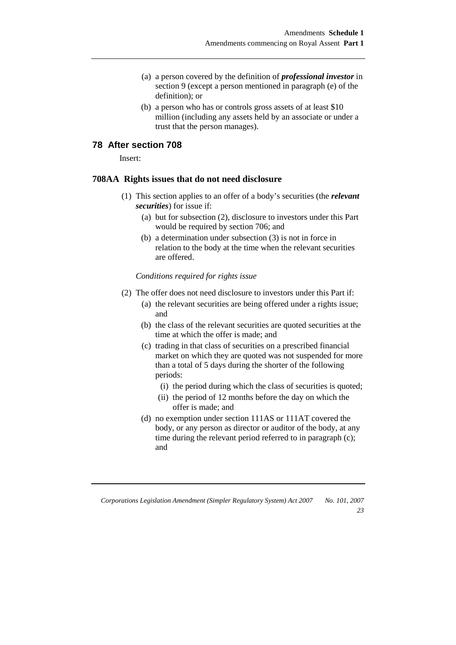- (a) a person covered by the definition of *professional investor* in section 9 (except a person mentioned in paragraph (e) of the definition); or
- (b) a person who has or controls gross assets of at least \$10 million (including any assets held by an associate or under a trust that the person manages).

#### **78 After section 708**

Insert:

#### **708AA Rights issues that do not need disclosure**

- (1) This section applies to an offer of a body's securities (the *relevant securities*) for issue if:
	- (a) but for subsection (2), disclosure to investors under this Part would be required by section 706; and
	- (b) a determination under subsection (3) is not in force in relation to the body at the time when the relevant securities are offered.

*Conditions required for rights issue* 

- (2) The offer does not need disclosure to investors under this Part if:
	- (a) the relevant securities are being offered under a rights issue; and
	- (b) the class of the relevant securities are quoted securities at the time at which the offer is made; and
	- (c) trading in that class of securities on a prescribed financial market on which they are quoted was not suspended for more than a total of 5 days during the shorter of the following periods:
		- (i) the period during which the class of securities is quoted;
		- (ii) the period of 12 months before the day on which the offer is made; and
	- (d) no exemption under section 111AS or 111AT covered the body, or any person as director or auditor of the body, at any time during the relevant period referred to in paragraph (c); and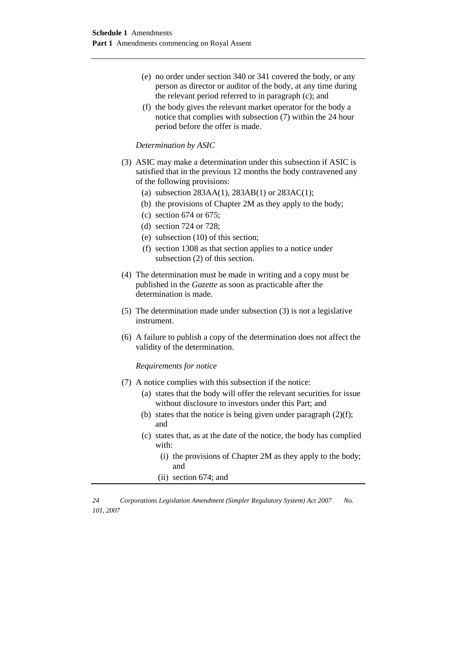- (e) no order under section 340 or 341 covered the body, or any person as director or auditor of the body, at any time during the relevant period referred to in paragraph (c); and
- (f) the body gives the relevant market operator for the body a notice that complies with subsection (7) within the 24 hour period before the offer is made.

#### *Determination by ASIC*

- (3) ASIC may make a determination under this subsection if ASIC is satisfied that in the previous 12 months the body contravened any of the following provisions:
	- (a) subsection 283AA(1), 283AB(1) or 283AC(1);
	- (b) the provisions of Chapter 2M as they apply to the body;
	- (c) section 674 or 675;
	- (d) section 724 or 728;
	- (e) subsection (10) of this section;
	- (f) section 1308 as that section applies to a notice under subsection (2) of this section.
- (4) The determination must be made in writing and a copy must be published in the *Gazette* as soon as practicable after the determination is made.
- (5) The determination made under subsection (3) is not a legislative instrument.
- (6) A failure to publish a copy of the determination does not affect the validity of the determination.

#### *Requirements for notice*

- (7) A notice complies with this subsection if the notice:
	- (a) states that the body will offer the relevant securities for issue without disclosure to investors under this Part; and
	- (b) states that the notice is being given under paragraph  $(2)(f)$ ; and
	- (c) states that, as at the date of the notice, the body has complied with:
		- (i) the provisions of Chapter 2M as they apply to the body; and
		- (ii) section 674; and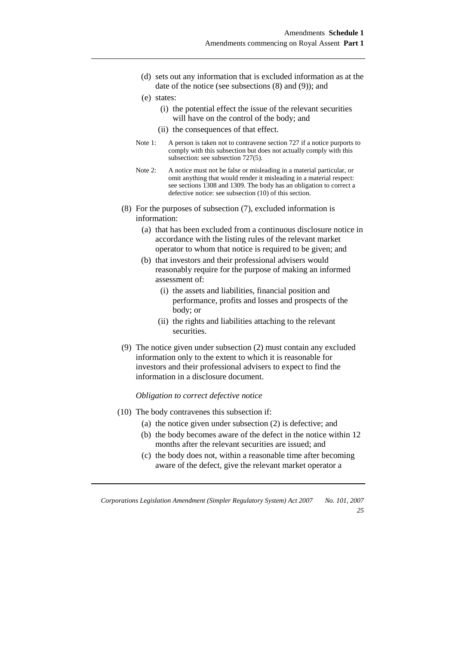- (d) sets out any information that is excluded information as at the date of the notice (see subsections (8) and (9)); and
- (e) states:
	- (i) the potential effect the issue of the relevant securities will have on the control of the body; and
	- (ii) the consequences of that effect.
- Note 1: A person is taken not to contravene section 727 if a notice purports to comply with this subsection but does not actually comply with this subsection: see subsection 727(5).
- Note 2: A notice must not be false or misleading in a material particular, or omit anything that would render it misleading in a material respect: see sections 1308 and 1309. The body has an obligation to correct a defective notice: see subsection (10) of this section.
- (8) For the purposes of subsection (7), excluded information is information:
	- (a) that has been excluded from a continuous disclosure notice in accordance with the listing rules of the relevant market operator to whom that notice is required to be given; and
	- (b) that investors and their professional advisers would reasonably require for the purpose of making an informed assessment of:
		- (i) the assets and liabilities, financial position and performance, profits and losses and prospects of the body; or
		- (ii) the rights and liabilities attaching to the relevant securities.
- (9) The notice given under subsection (2) must contain any excluded information only to the extent to which it is reasonable for investors and their professional advisers to expect to find the information in a disclosure document.

*Obligation to correct defective notice* 

- (10) The body contravenes this subsection if:
	- (a) the notice given under subsection (2) is defective; and
	- (b) the body becomes aware of the defect in the notice within 12 months after the relevant securities are issued; and
	- (c) the body does not, within a reasonable time after becoming aware of the defect, give the relevant market operator a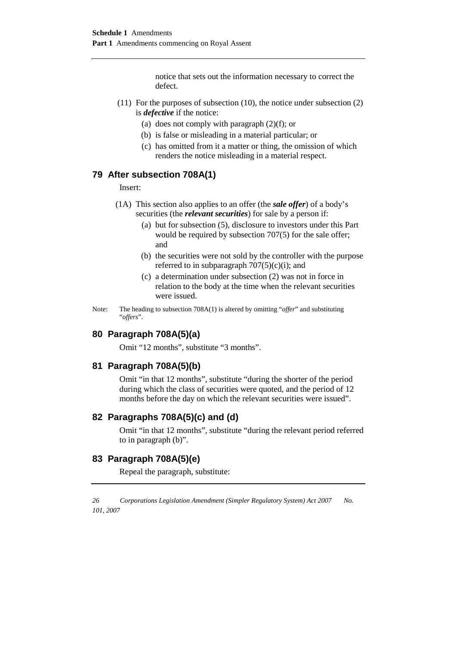notice that sets out the information necessary to correct the defect.

- (11) For the purposes of subsection (10), the notice under subsection (2) is *defective* if the notice:
	- (a) does not comply with paragraph  $(2)(f)$ ; or
	- (b) is false or misleading in a material particular; or
	- (c) has omitted from it a matter or thing, the omission of which renders the notice misleading in a material respect.

#### **79 After subsection 708A(1)**

Insert:

- (1A) This section also applies to an offer (the *sale offer*) of a body's securities (the *relevant securities*) for sale by a person if:
	- (a) but for subsection (5), disclosure to investors under this Part would be required by subsection 707(5) for the sale offer; and
	- (b) the securities were not sold by the controller with the purpose referred to in subparagraph  $707(5)(c)(i)$ ; and
	- (c) a determination under subsection (2) was not in force in relation to the body at the time when the relevant securities were issued.
- Note: The heading to subsection 708A(1) is altered by omitting "*offer*" and substituting "*offers*".

#### **80 Paragraph 708A(5)(a)**

Omit "12 months", substitute "3 months".

#### **81 Paragraph 708A(5)(b)**

Omit "in that 12 months", substitute "during the shorter of the period during which the class of securities were quoted, and the period of 12 months before the day on which the relevant securities were issued".

#### **82 Paragraphs 708A(5)(c) and (d)**

Omit "in that 12 months", substitute "during the relevant period referred to in paragraph (b)".

## **83 Paragraph 708A(5)(e)**

Repeal the paragraph, substitute: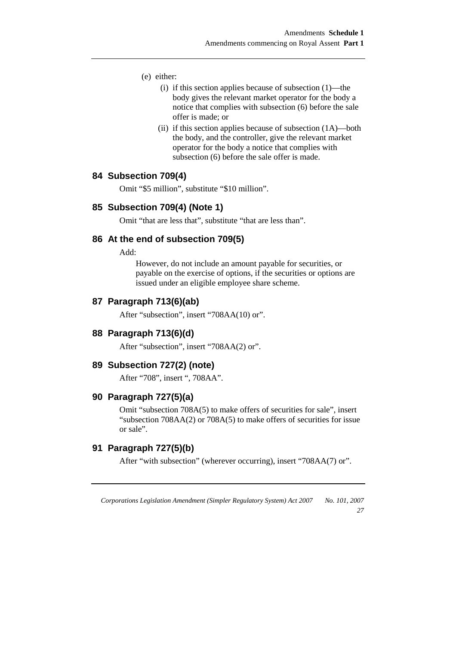- (e) either:
	- (i) if this section applies because of subsection (1)—the body gives the relevant market operator for the body a notice that complies with subsection (6) before the sale offer is made; or
	- (ii) if this section applies because of subsection (1A)—both the body, and the controller, give the relevant market operator for the body a notice that complies with subsection (6) before the sale offer is made.

#### **84 Subsection 709(4)**

Omit "\$5 million", substitute "\$10 million".

#### **85 Subsection 709(4) (Note 1)**

Omit "that are less that", substitute "that are less than".

#### **86 At the end of subsection 709(5)**

Add:

However, do not include an amount payable for securities, or payable on the exercise of options, if the securities or options are issued under an eligible employee share scheme.

#### **87 Paragraph 713(6)(ab)**

After "subsection", insert "708AA(10) or".

#### **88 Paragraph 713(6)(d)**

After "subsection", insert "708AA(2) or".

#### **89 Subsection 727(2) (note)**

After "708", insert ", 708AA".

#### **90 Paragraph 727(5)(a)**

Omit "subsection 708A(5) to make offers of securities for sale", insert "subsection 708AA(2) or 708A(5) to make offers of securities for issue or sale".

#### **91 Paragraph 727(5)(b)**

After "with subsection" (wherever occurring), insert "708AA(7) or".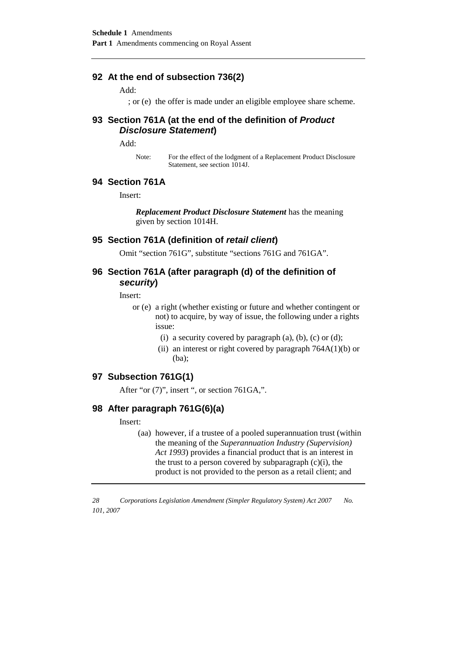#### **92 At the end of subsection 736(2)**

Add:

; or (e) the offer is made under an eligible employee share scheme.

#### **93 Section 761A (at the end of the definition of Product Disclosure Statement)**

Add:

Note: For the effect of the lodgment of a Replacement Product Disclosure Statement, see section 1014J.

#### **94 Section 761A**

Insert:

*Replacement Product Disclosure Statement* has the meaning given by section 1014H.

#### **95 Section 761A (definition of retail client)**

Omit "section 761G", substitute "sections 761G and 761GA".

## **96 Section 761A (after paragraph (d) of the definition of security)**

Insert:

- or (e) a right (whether existing or future and whether contingent or not) to acquire, by way of issue, the following under a rights issue:
	- (i) a security covered by paragraph (a), (b), (c) or (d);
	- (ii) an interest or right covered by paragraph  $764A(1)(b)$  or (ba);

## **97 Subsection 761G(1)**

After "or (7)", insert ", or section 761GA,".

#### **98 After paragraph 761G(6)(a)**

Insert:

(aa) however, if a trustee of a pooled superannuation trust (within the meaning of the *Superannuation Industry (Supervision) Act 1993*) provides a financial product that is an interest in the trust to a person covered by subparagraph  $(c)(i)$ , the product is not provided to the person as a retail client; and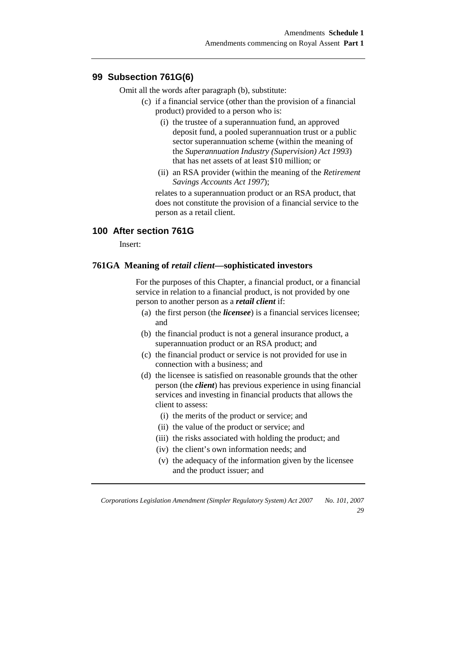#### **99 Subsection 761G(6)**

Omit all the words after paragraph (b), substitute:

- (c) if a financial service (other than the provision of a financial product) provided to a person who is:
	- (i) the trustee of a superannuation fund, an approved deposit fund, a pooled superannuation trust or a public sector superannuation scheme (within the meaning of the *Superannuation Industry (Supervision) Act 1993*) that has net assets of at least \$10 million; or
	- (ii) an RSA provider (within the meaning of the *Retirement Savings Accounts Act 1997*);

 relates to a superannuation product or an RSA product, that does not constitute the provision of a financial service to the person as a retail client.

## **100 After section 761G**

Insert:

#### **761GA Meaning of** *retail client***—sophisticated investors**

 For the purposes of this Chapter, a financial product, or a financial service in relation to a financial product, is not provided by one person to another person as a *retail client* if:

- (a) the first person (the *licensee*) is a financial services licensee; and
- (b) the financial product is not a general insurance product, a superannuation product or an RSA product; and
- (c) the financial product or service is not provided for use in connection with a business; and
- (d) the licensee is satisfied on reasonable grounds that the other person (the *client*) has previous experience in using financial services and investing in financial products that allows the client to assess:
	- (i) the merits of the product or service; and
	- (ii) the value of the product or service; and
	- (iii) the risks associated with holding the product; and
	- (iv) the client's own information needs; and
	- (v) the adequacy of the information given by the licensee and the product issuer; and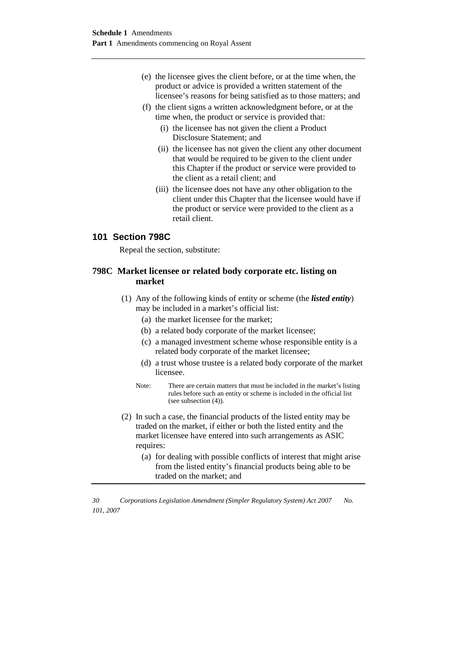- (e) the licensee gives the client before, or at the time when, the product or advice is provided a written statement of the licensee's reasons for being satisfied as to those matters; and
- (f) the client signs a written acknowledgment before, or at the time when, the product or service is provided that:
	- (i) the licensee has not given the client a Product Disclosure Statement; and
	- (ii) the licensee has not given the client any other document that would be required to be given to the client under this Chapter if the product or service were provided to the client as a retail client; and
	- (iii) the licensee does not have any other obligation to the client under this Chapter that the licensee would have if the product or service were provided to the client as a retail client.

### **101 Section 798C**

Repeal the section, substitute:

### **798C Market licensee or related body corporate etc. listing on market**

- (1) Any of the following kinds of entity or scheme (the *listed entity*) may be included in a market's official list:
	- (a) the market licensee for the market;
	- (b) a related body corporate of the market licensee;
	- (c) a managed investment scheme whose responsible entity is a related body corporate of the market licensee;
	- (d) a trust whose trustee is a related body corporate of the market licensee.
	- Note: There are certain matters that must be included in the market's listing rules before such an entity or scheme is included in the official list (see subsection (4)).
- (2) In such a case, the financial products of the listed entity may be traded on the market, if either or both the listed entity and the market licensee have entered into such arrangements as ASIC requires:
	- (a) for dealing with possible conflicts of interest that might arise from the listed entity's financial products being able to be traded on the market; and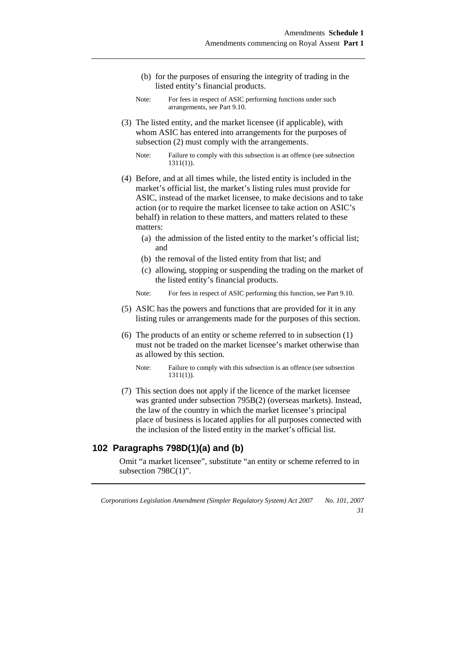- (b) for the purposes of ensuring the integrity of trading in the listed entity's financial products.
- Note: For fees in respect of ASIC performing functions under such arrangements, see Part 9.10.
- (3) The listed entity, and the market licensee (if applicable), with whom ASIC has entered into arrangements for the purposes of subsection (2) must comply with the arrangements.
	- Note: Failure to comply with this subsection is an offence (see subsection 1311(1)).
- (4) Before, and at all times while, the listed entity is included in the market's official list, the market's listing rules must provide for ASIC, instead of the market licensee, to make decisions and to take action (or to require the market licensee to take action on ASIC's behalf) in relation to these matters, and matters related to these matters:
	- (a) the admission of the listed entity to the market's official list; and
	- (b) the removal of the listed entity from that list; and
	- (c) allowing, stopping or suspending the trading on the market of the listed entity's financial products.
	- Note: For fees in respect of ASIC performing this function, see Part 9.10.
- (5) ASIC has the powers and functions that are provided for it in any listing rules or arrangements made for the purposes of this section.
- (6) The products of an entity or scheme referred to in subsection (1) must not be traded on the market licensee's market otherwise than as allowed by this section.
	- Note: Failure to comply with this subsection is an offence (see subsection 1311(1)).
- (7) This section does not apply if the licence of the market licensee was granted under subsection 795B(2) (overseas markets). Instead, the law of the country in which the market licensee's principal place of business is located applies for all purposes connected with the inclusion of the listed entity in the market's official list.

## **102 Paragraphs 798D(1)(a) and (b)**

Omit "a market licensee", substitute "an entity or scheme referred to in subsection 798C(1)".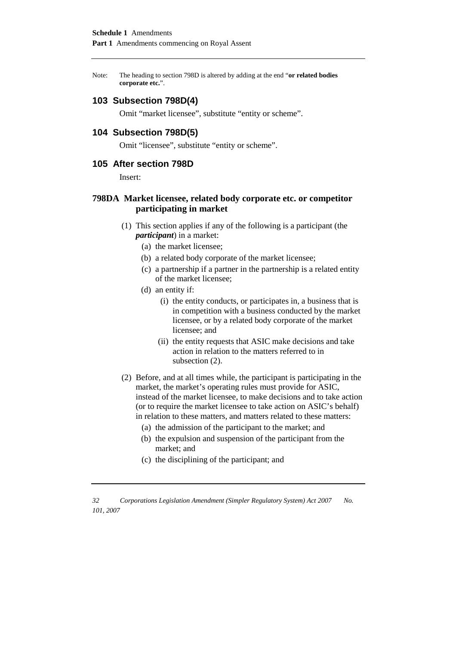Note: The heading to section 798D is altered by adding at the end "**or related bodies corporate etc.**".

#### **103 Subsection 798D(4)**

Omit "market licensee", substitute "entity or scheme".

#### **104 Subsection 798D(5)**

Omit "licensee", substitute "entity or scheme".

#### **105 After section 798D**

Insert:

#### **798DA Market licensee, related body corporate etc. or competitor participating in market**

- (1) This section applies if any of the following is a participant (the *participant*) in a market:
	- (a) the market licensee;
	- (b) a related body corporate of the market licensee;
	- (c) a partnership if a partner in the partnership is a related entity of the market licensee;
	- (d) an entity if:
		- (i) the entity conducts, or participates in, a business that is in competition with a business conducted by the market licensee, or by a related body corporate of the market licensee; and
		- (ii) the entity requests that ASIC make decisions and take action in relation to the matters referred to in subsection (2).
- (2) Before, and at all times while, the participant is participating in the market, the market's operating rules must provide for ASIC, instead of the market licensee, to make decisions and to take action (or to require the market licensee to take action on ASIC's behalf) in relation to these matters, and matters related to these matters:
	- (a) the admission of the participant to the market; and
	- (b) the expulsion and suspension of the participant from the market; and
	- (c) the disciplining of the participant; and

*32 Corporations Legislation Amendment (Simpler Regulatory System) Act 2007 No. 101, 2007*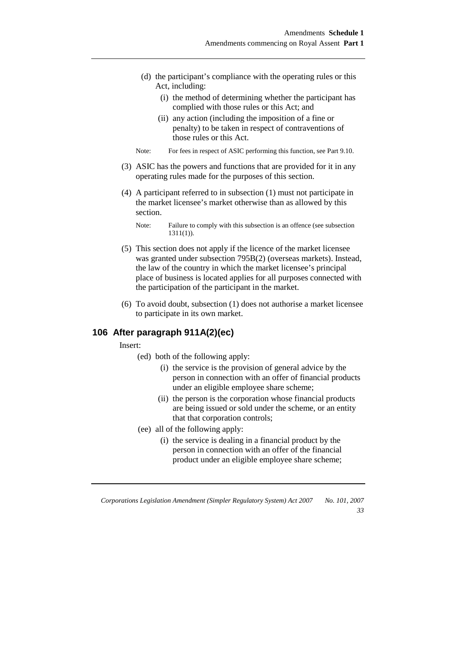- (d) the participant's compliance with the operating rules or this Act, including:
	- (i) the method of determining whether the participant has complied with those rules or this Act; and
	- (ii) any action (including the imposition of a fine or penalty) to be taken in respect of contraventions of those rules or this Act.
- Note: For fees in respect of ASIC performing this function, see Part 9.10.
- (3) ASIC has the powers and functions that are provided for it in any operating rules made for the purposes of this section.
- (4) A participant referred to in subsection (1) must not participate in the market licensee's market otherwise than as allowed by this section.

- (5) This section does not apply if the licence of the market licensee was granted under subsection 795B(2) (overseas markets). Instead, the law of the country in which the market licensee's principal place of business is located applies for all purposes connected with the participation of the participant in the market.
- (6) To avoid doubt, subsection (1) does not authorise a market licensee to participate in its own market.

## **106 After paragraph 911A(2)(ec)**

Insert:

(ed) both of the following apply:

- (i) the service is the provision of general advice by the person in connection with an offer of financial products under an eligible employee share scheme;
- (ii) the person is the corporation whose financial products are being issued or sold under the scheme, or an entity that that corporation controls;
- (ee) all of the following apply:
	- (i) the service is dealing in a financial product by the person in connection with an offer of the financial product under an eligible employee share scheme;

Note: Failure to comply with this subsection is an offence (see subsection 1311(1)).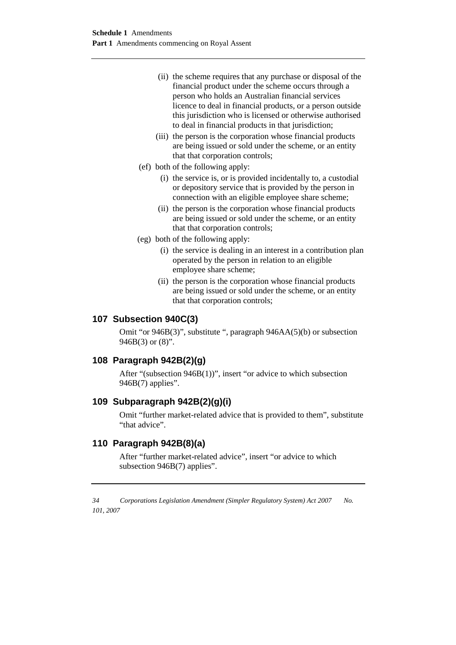- (ii) the scheme requires that any purchase or disposal of the financial product under the scheme occurs through a person who holds an Australian financial services licence to deal in financial products, or a person outside this jurisdiction who is licensed or otherwise authorised to deal in financial products in that jurisdiction;
- (iii) the person is the corporation whose financial products are being issued or sold under the scheme, or an entity that that corporation controls;
- (ef) both of the following apply:
	- (i) the service is, or is provided incidentally to, a custodial or depository service that is provided by the person in connection with an eligible employee share scheme;
	- (ii) the person is the corporation whose financial products are being issued or sold under the scheme, or an entity that that corporation controls;
- (eg) both of the following apply:
	- (i) the service is dealing in an interest in a contribution plan operated by the person in relation to an eligible employee share scheme;
	- (ii) the person is the corporation whose financial products are being issued or sold under the scheme, or an entity that that corporation controls;

### **107 Subsection 940C(3)**

Omit "or 946B(3)", substitute ", paragraph 946AA(5)(b) or subsection  $946B(3)$  or  $(8)$ ".

#### **108 Paragraph 942B(2)(g)**

After "(subsection 946B(1))", insert "or advice to which subsection 946B(7) applies".

#### **109 Subparagraph 942B(2)(g)(i)**

Omit "further market-related advice that is provided to them", substitute "that advice".

#### **110 Paragraph 942B(8)(a)**

After "further market-related advice", insert "or advice to which subsection 946B(7) applies".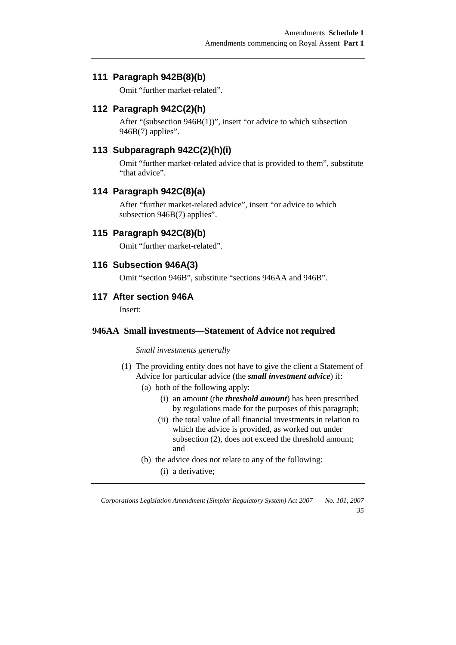## **111 Paragraph 942B(8)(b)**

Omit "further market-related".

## **112 Paragraph 942C(2)(h)**

After "(subsection 946B(1))", insert "or advice to which subsection 946B(7) applies".

## **113 Subparagraph 942C(2)(h)(i)**

Omit "further market-related advice that is provided to them", substitute "that advice".

### **114 Paragraph 942C(8)(a)**

After "further market-related advice", insert "or advice to which subsection 946B(7) applies".

### **115 Paragraph 942C(8)(b)**

Omit "further market-related".

## **116 Subsection 946A(3)**

Omit "section 946B", substitute "sections 946AA and 946B".

#### **117 After section 946A**

Insert:

#### **946AA Small investments—Statement of Advice not required**

#### *Small investments generally*

- (1) The providing entity does not have to give the client a Statement of Advice for particular advice (the *small investment advice*) if:
	- (a) both of the following apply:
		- (i) an amount (the *threshold amount*) has been prescribed by regulations made for the purposes of this paragraph;
		- (ii) the total value of all financial investments in relation to which the advice is provided, as worked out under subsection (2), does not exceed the threshold amount; and
	- (b) the advice does not relate to any of the following: (i) a derivative;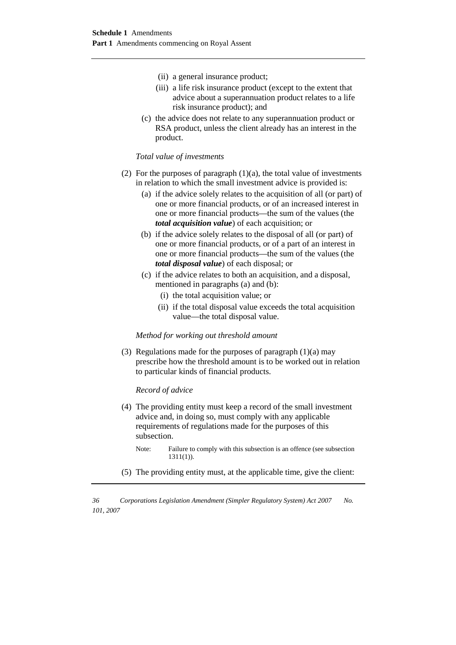- (ii) a general insurance product;
- (iii) a life risk insurance product (except to the extent that advice about a superannuation product relates to a life risk insurance product); and
- (c) the advice does not relate to any superannuation product or RSA product, unless the client already has an interest in the product.

#### *Total value of investments*

- (2) For the purposes of paragraph  $(1)(a)$ , the total value of investments in relation to which the small investment advice is provided is:
	- (a) if the advice solely relates to the acquisition of all (or part) of one or more financial products, or of an increased interest in one or more financial products—the sum of the values (the *total acquisition value*) of each acquisition; or
	- (b) if the advice solely relates to the disposal of all (or part) of one or more financial products, or of a part of an interest in one or more financial products—the sum of the values (the *total disposal value*) of each disposal; or
	- (c) if the advice relates to both an acquisition, and a disposal, mentioned in paragraphs (a) and (b):
		- (i) the total acquisition value; or
		- (ii) if the total disposal value exceeds the total acquisition value—the total disposal value.

#### *Method for working out threshold amount*

(3) Regulations made for the purposes of paragraph  $(1)(a)$  may prescribe how the threshold amount is to be worked out in relation to particular kinds of financial products.

#### *Record of advice*

- (4) The providing entity must keep a record of the small investment advice and, in doing so, must comply with any applicable requirements of regulations made for the purposes of this subsection.
	- Note: Failure to comply with this subsection is an offence (see subsection 1311(1)).
- (5) The providing entity must, at the applicable time, give the client: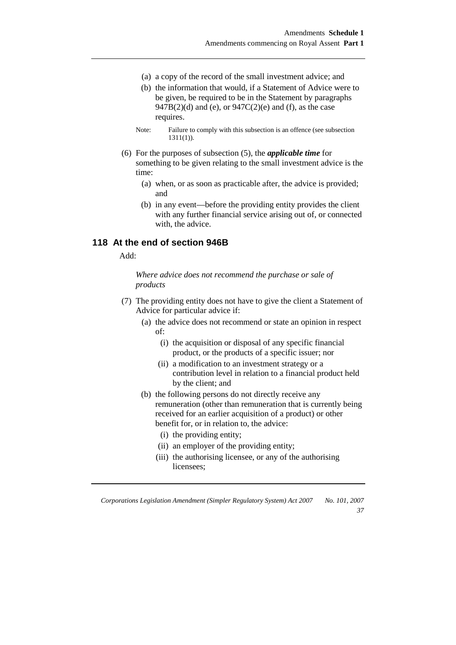- (a) a copy of the record of the small investment advice; and
- (b) the information that would, if a Statement of Advice were to be given, be required to be in the Statement by paragraphs  $947B(2)(d)$  and (e), or  $947C(2)(e)$  and (f), as the case requires.
- Note: Failure to comply with this subsection is an offence (see subsection 1311(1)).
- (6) For the purposes of subsection (5), the *applicable time* for something to be given relating to the small investment advice is the time:
	- (a) when, or as soon as practicable after, the advice is provided; and
	- (b) in any event—before the providing entity provides the client with any further financial service arising out of, or connected with, the advice.

## **118 At the end of section 946B**

Add:

*Where advice does not recommend the purchase or sale of products* 

- (7) The providing entity does not have to give the client a Statement of Advice for particular advice if:
	- (a) the advice does not recommend or state an opinion in respect of:
		- (i) the acquisition or disposal of any specific financial product, or the products of a specific issuer; nor
		- (ii) a modification to an investment strategy or a contribution level in relation to a financial product held by the client; and
	- (b) the following persons do not directly receive any remuneration (other than remuneration that is currently being received for an earlier acquisition of a product) or other benefit for, or in relation to, the advice:
		- (i) the providing entity;
		- (ii) an employer of the providing entity;
		- (iii) the authorising licensee, or any of the authorising licensees;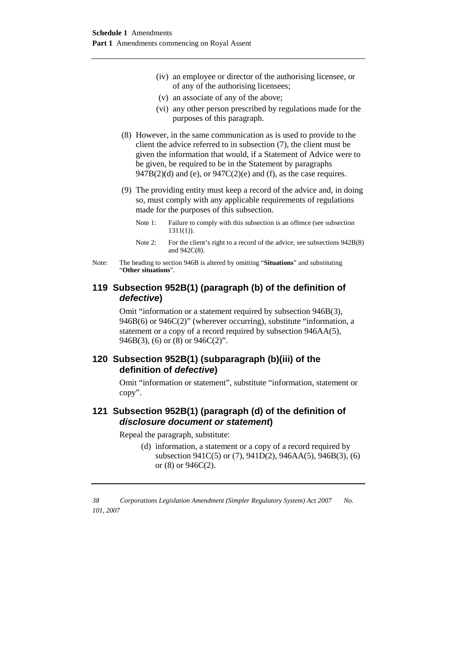- (iv) an employee or director of the authorising licensee, or of any of the authorising licensees;
- (v) an associate of any of the above;
- (vi) any other person prescribed by regulations made for the purposes of this paragraph.
- (8) However, in the same communication as is used to provide to the client the advice referred to in subsection (7), the client must be given the information that would, if a Statement of Advice were to be given, be required to be in the Statement by paragraphs  $947B(2)$ (d) and (e), or  $947C(2)$ (e) and (f), as the case requires.
- (9) The providing entity must keep a record of the advice and, in doing so, must comply with any applicable requirements of regulations made for the purposes of this subsection.

Note 1: Failure to comply with this subsection is an offence (see subsection 1311(1)).

- Note 2: For the client's right to a record of the advice, see subsections  $942B(8)$ and 942C(8).
- Note: The heading to section 946B is altered by omitting "**Situations**" and substituting "**Other situations**".

## **119 Subsection 952B(1) (paragraph (b) of the definition of defective)**

Omit "information or a statement required by subsection 946B(3), 946B(6) or 946C(2)" (wherever occurring), substitute "information, a statement or a copy of a record required by subsection 946AA(5), 946B(3), (6) or (8) or 946C(2)".

## **120 Subsection 952B(1) (subparagraph (b)(iii) of the definition of defective)**

Omit "information or statement", substitute "information, statement or copy".

## **121 Subsection 952B(1) (paragraph (d) of the definition of disclosure document or statement)**

Repeal the paragraph, substitute:

(d) information, a statement or a copy of a record required by subsection 941C(5) or (7), 941D(2), 946AA(5), 946B(3), (6) or (8) or 946C(2).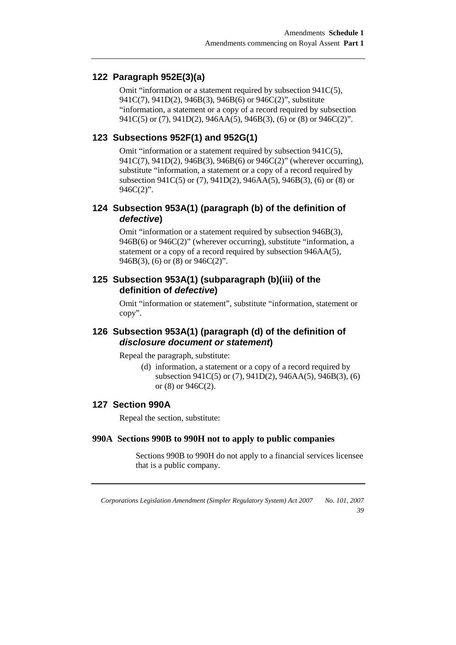## **122 Paragraph 952E(3)(a)**

Omit "information or a statement required by subsection 941C(5), 941C(7), 941D(2), 946B(3), 946B(6) or 946C(2)", substitute "information, a statement or a copy of a record required by subsection 941C(5) or (7), 941D(2), 946AA(5), 946B(3), (6) or (8) or 946C(2)".

## **123 Subsections 952F(1) and 952G(1)**

Omit "information or a statement required by subsection 941C(5), 941C(7), 941D(2), 946B(3), 946B(6) or 946C(2)" (wherever occurring), substitute "information, a statement or a copy of a record required by subsection 941C(5) or (7), 941D(2), 946AA(5), 946B(3), (6) or (8) or 946C(2)".

## **124 Subsection 953A(1) (paragraph (b) of the definition of defective)**

Omit "information or a statement required by subsection 946B(3), 946B(6) or 946C(2)" (wherever occurring), substitute "information, a statement or a copy of a record required by subsection 946AA(5), 946B(3), (6) or (8) or 946C(2)".

## **125 Subsection 953A(1) (subparagraph (b)(iii) of the definition of defective)**

Omit "information or statement", substitute "information, statement or copy".

## **126 Subsection 953A(1) (paragraph (d) of the definition of disclosure document or statement)**

Repeal the paragraph, substitute:

(d) information, a statement or a copy of a record required by subsection 941C(5) or (7), 941D(2), 946AA(5), 946B(3), (6) or (8) or 946C(2).

### **127 Section 990A**

Repeal the section, substitute:

#### **990A Sections 990B to 990H not to apply to public companies**

 Sections 990B to 990H do not apply to a financial services licensee that is a public company.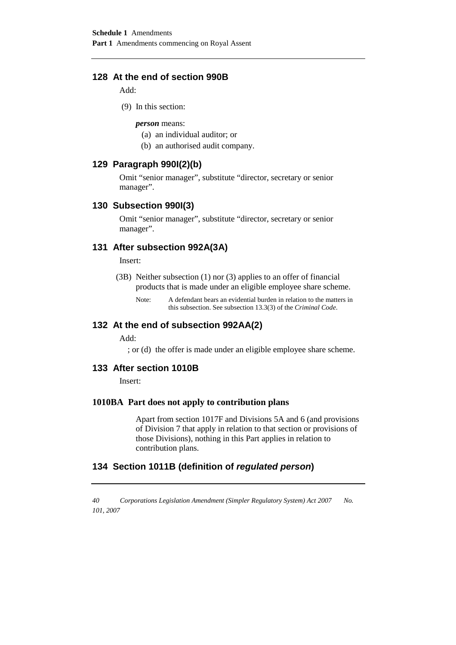## **128 At the end of section 990B**

Add:

(9) In this section:

*person* means:

- (a) an individual auditor; or
- (b) an authorised audit company.

## **129 Paragraph 990I(2)(b)**

Omit "senior manager", substitute "director, secretary or senior manager".

#### **130 Subsection 990I(3)**

Omit "senior manager", substitute "director, secretary or senior manager".

#### **131 After subsection 992A(3A)**

Insert:

- (3B) Neither subsection (1) nor (3) applies to an offer of financial products that is made under an eligible employee share scheme.
	- Note: A defendant bears an evidential burden in relation to the matters in this subsection. See subsection 13.3(3) of the *Criminal Code*.

#### **132 At the end of subsection 992AA(2)**

Add:

; or (d) the offer is made under an eligible employee share scheme.

#### **133 After section 1010B**

Insert:

#### **1010BA Part does not apply to contribution plans**

 Apart from section 1017F and Divisions 5A and 6 (and provisions of Division 7 that apply in relation to that section or provisions of those Divisions), nothing in this Part applies in relation to contribution plans.

## **134 Section 1011B (definition of regulated person)**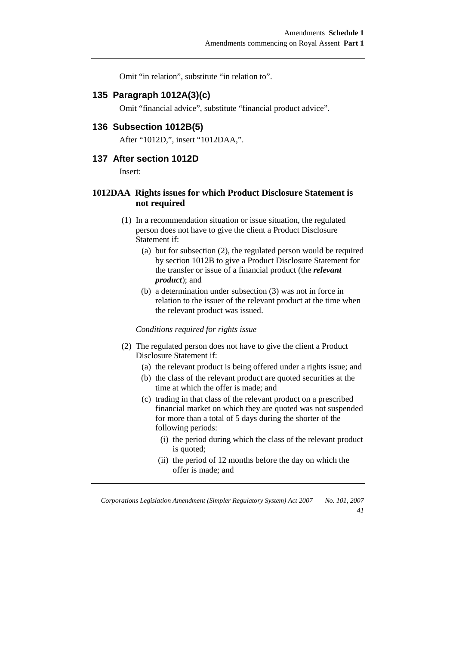Omit "in relation", substitute "in relation to".

#### **135 Paragraph 1012A(3)(c)**

Omit "financial advice", substitute "financial product advice".

#### **136 Subsection 1012B(5)**

After "1012D,", insert "1012DAA,".

#### **137 After section 1012D**

Insert:

#### **1012DAA Rights issues for which Product Disclosure Statement is not required**

- (1) In a recommendation situation or issue situation, the regulated person does not have to give the client a Product Disclosure Statement if:
	- (a) but for subsection (2), the regulated person would be required by section 1012B to give a Product Disclosure Statement for the transfer or issue of a financial product (the *relevant product*); and
	- (b) a determination under subsection (3) was not in force in relation to the issuer of the relevant product at the time when the relevant product was issued.

*Conditions required for rights issue* 

- (2) The regulated person does not have to give the client a Product Disclosure Statement if:
	- (a) the relevant product is being offered under a rights issue; and
	- (b) the class of the relevant product are quoted securities at the time at which the offer is made; and
	- (c) trading in that class of the relevant product on a prescribed financial market on which they are quoted was not suspended for more than a total of 5 days during the shorter of the following periods:
		- (i) the period during which the class of the relevant product is quoted;
		- (ii) the period of 12 months before the day on which the offer is made; and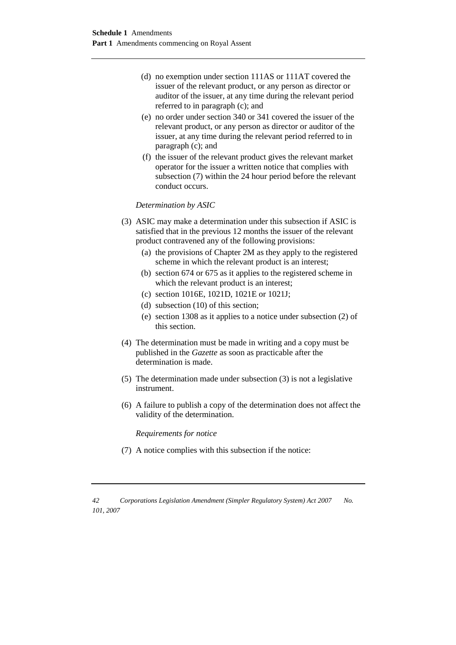- (d) no exemption under section 111AS or 111AT covered the issuer of the relevant product, or any person as director or auditor of the issuer, at any time during the relevant period referred to in paragraph (c); and
- (e) no order under section 340 or 341 covered the issuer of the relevant product, or any person as director or auditor of the issuer, at any time during the relevant period referred to in paragraph (c); and
- (f) the issuer of the relevant product gives the relevant market operator for the issuer a written notice that complies with subsection (7) within the 24 hour period before the relevant conduct occurs.

*Determination by ASIC* 

- (3) ASIC may make a determination under this subsection if ASIC is satisfied that in the previous 12 months the issuer of the relevant product contravened any of the following provisions:
	- (a) the provisions of Chapter 2M as they apply to the registered scheme in which the relevant product is an interest;
	- (b) section 674 or 675 as it applies to the registered scheme in which the relevant product is an interest;
	- (c) section 1016E, 1021D, 1021E or 1021J;
	- (d) subsection (10) of this section;
	- (e) section 1308 as it applies to a notice under subsection (2) of this section.
- (4) The determination must be made in writing and a copy must be published in the *Gazette* as soon as practicable after the determination is made.
- (5) The determination made under subsection (3) is not a legislative instrument.
- (6) A failure to publish a copy of the determination does not affect the validity of the determination.

*Requirements for notice* 

(7) A notice complies with this subsection if the notice:

*<sup>42</sup> Corporations Legislation Amendment (Simpler Regulatory System) Act 2007 No. 101, 2007*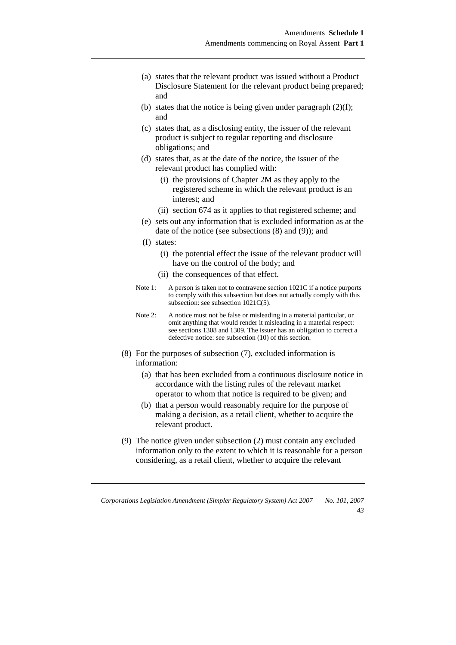- (a) states that the relevant product was issued without a Product Disclosure Statement for the relevant product being prepared; and
- (b) states that the notice is being given under paragraph  $(2)(f)$ : and
- (c) states that, as a disclosing entity, the issuer of the relevant product is subject to regular reporting and disclosure obligations; and
- (d) states that, as at the date of the notice, the issuer of the relevant product has complied with:
	- (i) the provisions of Chapter 2M as they apply to the registered scheme in which the relevant product is an interest; and
	- (ii) section 674 as it applies to that registered scheme; and
- (e) sets out any information that is excluded information as at the date of the notice (see subsections (8) and (9)); and
- (f) states:
	- (i) the potential effect the issue of the relevant product will have on the control of the body; and
	- (ii) the consequences of that effect.
- Note 1: A person is taken not to contravene section 1021C if a notice purports to comply with this subsection but does not actually comply with this subsection: see subsection  $1021C(5)$ .
- Note 2: A notice must not be false or misleading in a material particular, or omit anything that would render it misleading in a material respect: see sections 1308 and 1309. The issuer has an obligation to correct a defective notice: see subsection (10) of this section.
- (8) For the purposes of subsection (7), excluded information is information:
	- (a) that has been excluded from a continuous disclosure notice in accordance with the listing rules of the relevant market operator to whom that notice is required to be given; and
	- (b) that a person would reasonably require for the purpose of making a decision, as a retail client, whether to acquire the relevant product.
- (9) The notice given under subsection (2) must contain any excluded information only to the extent to which it is reasonable for a person considering, as a retail client, whether to acquire the relevant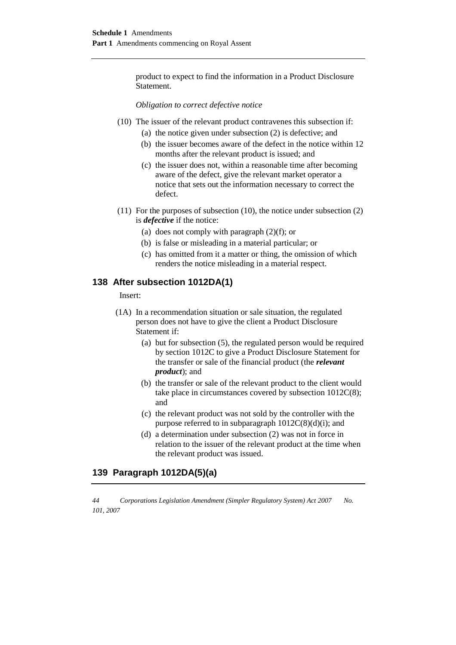product to expect to find the information in a Product Disclosure Statement.

*Obligation to correct defective notice* 

- (10) The issuer of the relevant product contravenes this subsection if:
	- (a) the notice given under subsection (2) is defective; and
	- (b) the issuer becomes aware of the defect in the notice within 12 months after the relevant product is issued; and
	- (c) the issuer does not, within a reasonable time after becoming aware of the defect, give the relevant market operator a notice that sets out the information necessary to correct the defect.
- (11) For the purposes of subsection (10), the notice under subsection (2) is *defective* if the notice:
	- (a) does not comply with paragraph (2)(f); or
	- (b) is false or misleading in a material particular; or
	- (c) has omitted from it a matter or thing, the omission of which renders the notice misleading in a material respect.

## **138 After subsection 1012DA(1)**

Insert:

- (1A) In a recommendation situation or sale situation, the regulated person does not have to give the client a Product Disclosure Statement if:
	- (a) but for subsection (5), the regulated person would be required by section 1012C to give a Product Disclosure Statement for the transfer or sale of the financial product (the *relevant product*); and
	- (b) the transfer or sale of the relevant product to the client would take place in circumstances covered by subsection 1012C(8); and
	- (c) the relevant product was not sold by the controller with the purpose referred to in subparagraph  $1012C(8)(d)(i)$ ; and
	- (d) a determination under subsection (2) was not in force in relation to the issuer of the relevant product at the time when the relevant product was issued.

## **139 Paragraph 1012DA(5)(a)**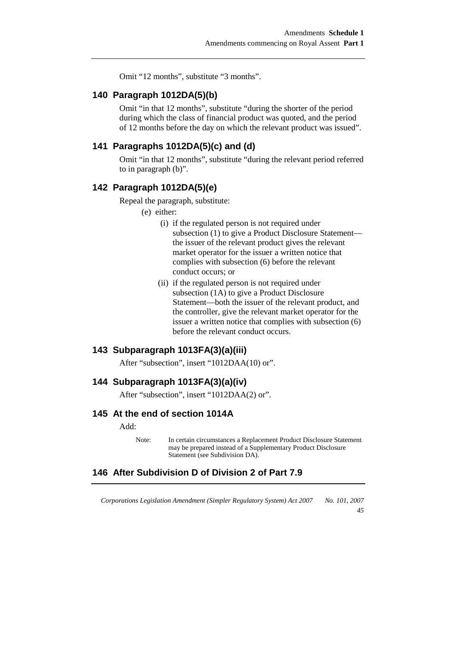Omit "12 months", substitute "3 months".

#### **140 Paragraph 1012DA(5)(b)**

Omit "in that 12 months", substitute "during the shorter of the period during which the class of financial product was quoted, and the period of 12 months before the day on which the relevant product was issued".

#### **141 Paragraphs 1012DA(5)(c) and (d)**

Omit "in that 12 months", substitute "during the relevant period referred to in paragraph (b)".

#### **142 Paragraph 1012DA(5)(e)**

Repeal the paragraph, substitute:

(e) either:

- (i) if the regulated person is not required under subsection (1) to give a Product Disclosure Statement the issuer of the relevant product gives the relevant market operator for the issuer a written notice that complies with subsection (6) before the relevant conduct occurs; or
- (ii) if the regulated person is not required under subsection (1A) to give a Product Disclosure Statement—both the issuer of the relevant product, and the controller, give the relevant market operator for the issuer a written notice that complies with subsection (6) before the relevant conduct occurs.

## **143 Subparagraph 1013FA(3)(a)(iii)**

After "subsection", insert "1012DAA(10) or".

#### **144 Subparagraph 1013FA(3)(a)(iv)**

After "subsection", insert "1012DAA(2) or".

#### **145 At the end of section 1014A**

Add:

#### **146 After Subdivision D of Division 2 of Part 7.9**

*Corporations Legislation Amendment (Simpler Regulatory System) Act 2007 No. 101, 2007* 

*45* 

Note: In certain circumstances a Replacement Product Disclosure Statement may be prepared instead of a Supplementary Product Disclosure Statement (see Subdivision DA).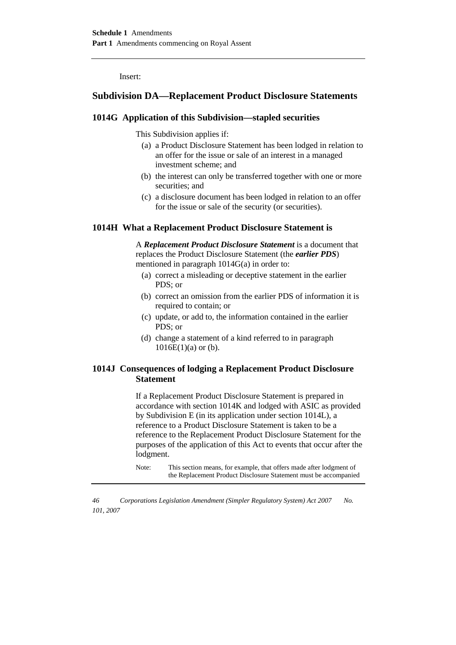Insert:

## **Subdivision DA—Replacement Product Disclosure Statements**

#### **1014G Application of this Subdivision—stapled securities**

This Subdivision applies if:

- (a) a Product Disclosure Statement has been lodged in relation to an offer for the issue or sale of an interest in a managed investment scheme; and
- (b) the interest can only be transferred together with one or more securities: and
- (c) a disclosure document has been lodged in relation to an offer for the issue or sale of the security (or securities).

#### **1014H What a Replacement Product Disclosure Statement is**

 A *Replacement Product Disclosure Statement* is a document that replaces the Product Disclosure Statement (the *earlier PDS*) mentioned in paragraph 1014G(a) in order to:

- (a) correct a misleading or deceptive statement in the earlier PDS; or
- (b) correct an omission from the earlier PDS of information it is required to contain; or
- (c) update, or add to, the information contained in the earlier PDS; or
- (d) change a statement of a kind referred to in paragraph  $1016E(1)(a)$  or (b).

#### **1014J Consequences of lodging a Replacement Product Disclosure Statement**

 If a Replacement Product Disclosure Statement is prepared in accordance with section 1014K and lodged with ASIC as provided by Subdivision E (in its application under section 1014L), a reference to a Product Disclosure Statement is taken to be a reference to the Replacement Product Disclosure Statement for the purposes of the application of this Act to events that occur after the lodgment.

Note: This section means, for example, that offers made after lodgment of the Replacement Product Disclosure Statement must be accompanied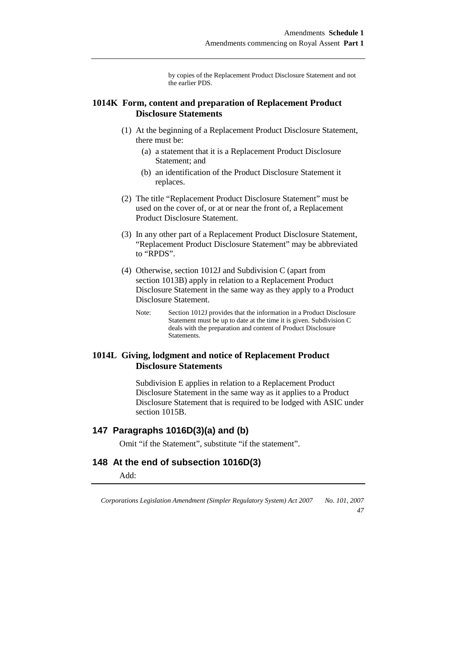by copies of the Replacement Product Disclosure Statement and not the earlier PDS.

#### **1014K Form, content and preparation of Replacement Product Disclosure Statements**

- (1) At the beginning of a Replacement Product Disclosure Statement, there must be:
	- (a) a statement that it is a Replacement Product Disclosure Statement; and
	- (b) an identification of the Product Disclosure Statement it replaces.
- (2) The title "Replacement Product Disclosure Statement" must be used on the cover of, or at or near the front of, a Replacement Product Disclosure Statement.
- (3) In any other part of a Replacement Product Disclosure Statement, "Replacement Product Disclosure Statement" may be abbreviated to "RPDS".
- (4) Otherwise, section 1012J and Subdivision C (apart from section 1013B) apply in relation to a Replacement Product Disclosure Statement in the same way as they apply to a Product Disclosure Statement.
	- Note: Section 1012J provides that the information in a Product Disclosure Statement must be up to date at the time it is given. Subdivision C deals with the preparation and content of Product Disclosure Statements.

## **1014L Giving, lodgment and notice of Replacement Product Disclosure Statements**

 Subdivision E applies in relation to a Replacement Product Disclosure Statement in the same way as it applies to a Product Disclosure Statement that is required to be lodged with ASIC under section 1015B.

### **147 Paragraphs 1016D(3)(a) and (b)**

Omit "if the Statement", substitute "if the statement".

### **148 At the end of subsection 1016D(3)**

Add:

*Corporations Legislation Amendment (Simpler Regulatory System) Act 2007 No. 101, 2007* 

*47*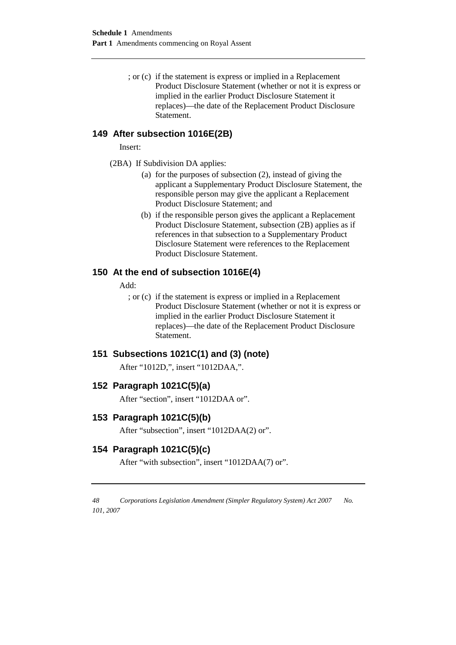; or (c) if the statement is express or implied in a Replacement Product Disclosure Statement (whether or not it is express or implied in the earlier Product Disclosure Statement it replaces)—the date of the Replacement Product Disclosure Statement.

## **149 After subsection 1016E(2B)**

Insert:

- (2BA) If Subdivision DA applies:
	- (a) for the purposes of subsection (2), instead of giving the applicant a Supplementary Product Disclosure Statement, the responsible person may give the applicant a Replacement Product Disclosure Statement; and
	- (b) if the responsible person gives the applicant a Replacement Product Disclosure Statement, subsection (2B) applies as if references in that subsection to a Supplementary Product Disclosure Statement were references to the Replacement Product Disclosure Statement.

### **150 At the end of subsection 1016E(4)**

Add:

; or (c) if the statement is express or implied in a Replacement Product Disclosure Statement (whether or not it is express or implied in the earlier Product Disclosure Statement it replaces)—the date of the Replacement Product Disclosure Statement.

### **151 Subsections 1021C(1) and (3) (note)**

After "1012D,", insert "1012DAA,".

### **152 Paragraph 1021C(5)(a)**

After "section", insert "1012DAA or".

#### **153 Paragraph 1021C(5)(b)**

After "subsection", insert "1012DAA(2) or".

## **154 Paragraph 1021C(5)(c)**

After "with subsection", insert "1012DAA(7) or".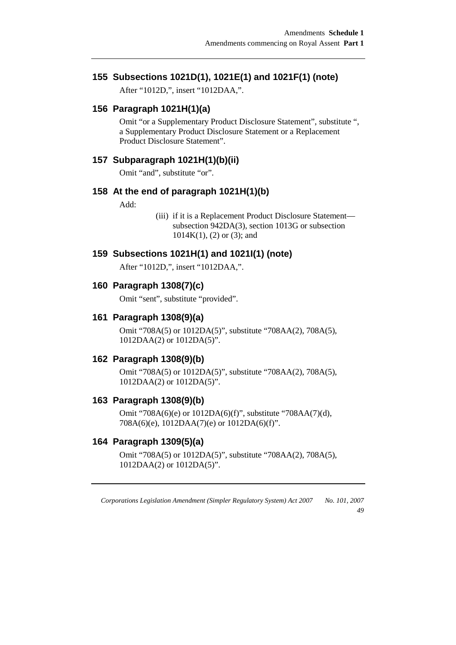## **155 Subsections 1021D(1), 1021E(1) and 1021F(1) (note)**

After "1012D,", insert "1012DAA,".

## **156 Paragraph 1021H(1)(a)**

Omit "or a Supplementary Product Disclosure Statement", substitute ", a Supplementary Product Disclosure Statement or a Replacement Product Disclosure Statement".

#### **157 Subparagraph 1021H(1)(b)(ii)**

Omit "and", substitute "or".

#### **158 At the end of paragraph 1021H(1)(b)**

Add:

(iii) if it is a Replacement Product Disclosure Statement subsection 942DA(3), section 1013G or subsection 1014K(1), (2) or (3); and

#### **159 Subsections 1021H(1) and 1021I(1) (note)**

After "1012D,", insert "1012DAA,".

#### **160 Paragraph 1308(7)(c)**

Omit "sent", substitute "provided".

#### **161 Paragraph 1308(9)(a)**

Omit "708A(5) or 1012DA(5)", substitute "708AA(2), 708A(5), 1012DAA(2) or 1012DA(5)".

### **162 Paragraph 1308(9)(b)**

Omit "708A(5) or 1012DA(5)", substitute "708AA(2), 708A(5), 1012DAA(2) or 1012DA(5)".

## **163 Paragraph 1308(9)(b)**

Omit "708A(6)(e) or 1012DA(6)(f)", substitute "708AA(7)(d), 708A(6)(e), 1012DAA(7)(e) or 1012DA(6)(f)".

#### **164 Paragraph 1309(5)(a)**

Omit "708A(5) or 1012DA(5)", substitute "708AA(2), 708A(5), 1012DAA(2) or 1012DA(5)".

*Corporations Legislation Amendment (Simpler Regulatory System) Act 2007 No. 101, 2007* 

*49*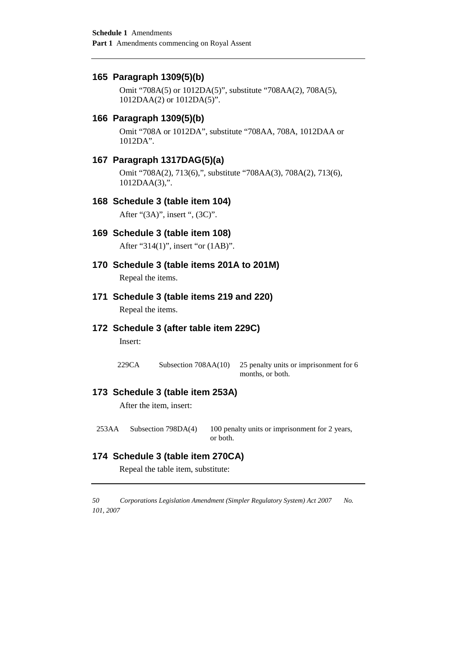#### **165 Paragraph 1309(5)(b)**

Omit "708A(5) or 1012DA(5)", substitute "708AA(2), 708A(5), 1012DAA(2) or 1012DA(5)".

#### **166 Paragraph 1309(5)(b)**

Omit "708A or 1012DA", substitute "708AA, 708A, 1012DAA or 1012DA".

## **167 Paragraph 1317DAG(5)(a)**

Omit "708A(2), 713(6),", substitute "708AA(3), 708A(2), 713(6), 1012DAA(3),".

#### **168 Schedule 3 (table item 104)**

After "(3A)", insert ", (3C)".

## **169 Schedule 3 (table item 108)**

After "314(1)", insert "or (1AB)".

## **170 Schedule 3 (table items 201A to 201M)**

Repeal the items.

#### **171 Schedule 3 (table items 219 and 220)**

Repeal the items.

#### **172 Schedule 3 (after table item 229C)**

Insert:

229CA Subsection 708AA(10) 25 penalty units or imprisonment for 6 months, or both.

## **173 Schedule 3 (table item 253A)**

After the item, insert:

253AA Subsection 798DA(4) 100 penalty units or imprisonment for 2 years, or both.

## **174 Schedule 3 (table item 270CA)**

Repeal the table item, substitute: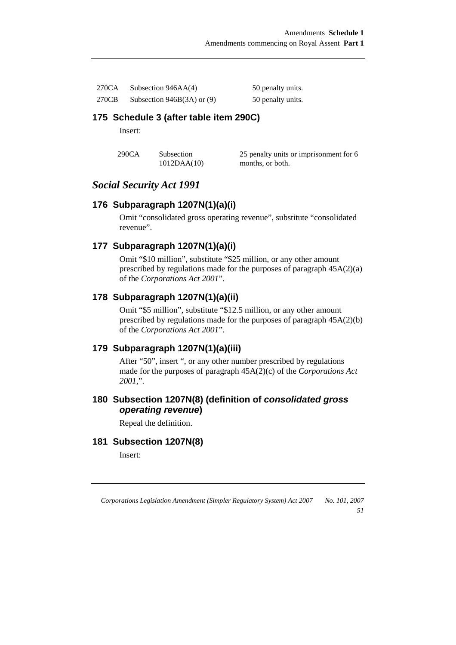| 270CA | Subsection $946AA(4)$        | 50 penalty units. |
|-------|------------------------------|-------------------|
| 270CB | Subsection $946B(3A)$ or (9) | 50 penalty units. |

### **175 Schedule 3 (after table item 290C)**

Insert:

| 290CA | Subsection  | 25 penalty units or imprisonment for 6 |
|-------|-------------|----------------------------------------|
|       | 1012DAA(10) | months, or both.                       |

## *Social Security Act 1991*

### **176 Subparagraph 1207N(1)(a)(i)**

Omit "consolidated gross operating revenue", substitute "consolidated revenue".

## **177 Subparagraph 1207N(1)(a)(i)**

Omit "\$10 million", substitute "\$25 million, or any other amount prescribed by regulations made for the purposes of paragraph  $45A(2)(a)$ of the *Corporations Act 2001*".

## **178 Subparagraph 1207N(1)(a)(ii)**

Omit "\$5 million", substitute "\$12.5 million, or any other amount prescribed by regulations made for the purposes of paragraph 45A(2)(b) of the *Corporations Act 2001*".

## **179 Subparagraph 1207N(1)(a)(iii)**

After "50", insert ", or any other number prescribed by regulations made for the purposes of paragraph 45A(2)(c) of the *Corporations Act 2001*,".

### **180 Subsection 1207N(8) (definition of consolidated gross operating revenue)**

Repeal the definition.

## **181 Subsection 1207N(8)**

Insert:

*Corporations Legislation Amendment (Simpler Regulatory System) Act 2007 No. 101, 2007* 

*51*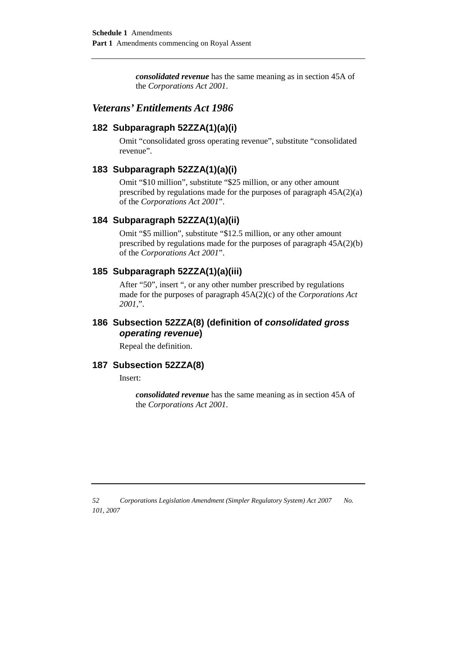*consolidated revenue* has the same meaning as in section 45A of the *Corporations Act 2001*.

## *Veterans' Entitlements Act 1986*

### **182 Subparagraph 52ZZA(1)(a)(i)**

Omit "consolidated gross operating revenue", substitute "consolidated revenue".

#### **183 Subparagraph 52ZZA(1)(a)(i)**

Omit "\$10 million", substitute "\$25 million, or any other amount prescribed by regulations made for the purposes of paragraph  $45A(2)(a)$ of the *Corporations Act 2001*".

#### **184 Subparagraph 52ZZA(1)(a)(ii)**

Omit "\$5 million", substitute "\$12.5 million, or any other amount prescribed by regulations made for the purposes of paragraph 45A(2)(b) of the *Corporations Act 2001*".

### **185 Subparagraph 52ZZA(1)(a)(iii)**

After "50", insert ", or any other number prescribed by regulations made for the purposes of paragraph 45A(2)(c) of the *Corporations Act 2001*,".

## **186 Subsection 52ZZA(8) (definition of consolidated gross operating revenue)**

Repeal the definition.

## **187 Subsection 52ZZA(8)**

Insert:

*consolidated revenue* has the same meaning as in section 45A of the *Corporations Act 2001*.

*<sup>52</sup> Corporations Legislation Amendment (Simpler Regulatory System) Act 2007 No. 101, 2007*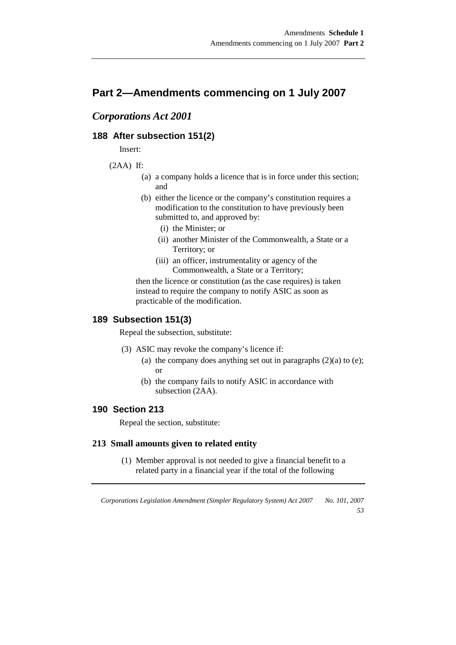## **Part 2—Amendments commencing on 1 July 2007**

## *Corporations Act 2001*

### **188 After subsection 151(2)**

Insert:

#### $(2AA)$  If:

- (a) a company holds a licence that is in force under this section; and
- (b) either the licence or the company's constitution requires a modification to the constitution to have previously been submitted to, and approved by:
	- (i) the Minister; or
	- (ii) another Minister of the Commonwealth, a State or a Territory; or
	- (iii) an officer, instrumentality or agency of the Commonwealth, a State or a Territory;

then the licence or constitution (as the case requires) is taken instead to require the company to notify ASIC as soon as practicable of the modification.

#### **189 Subsection 151(3)**

Repeal the subsection, substitute:

- (3) ASIC may revoke the company's licence if:
	- (a) the company does anything set out in paragraphs  $(2)(a)$  to  $(e)$ ; or
	- (b) the company fails to notify ASIC in accordance with subsection (2AA).

## **190 Section 213**

Repeal the section, substitute:

#### **213 Small amounts given to related entity**

 (1) Member approval is not needed to give a financial benefit to a related party in a financial year if the total of the following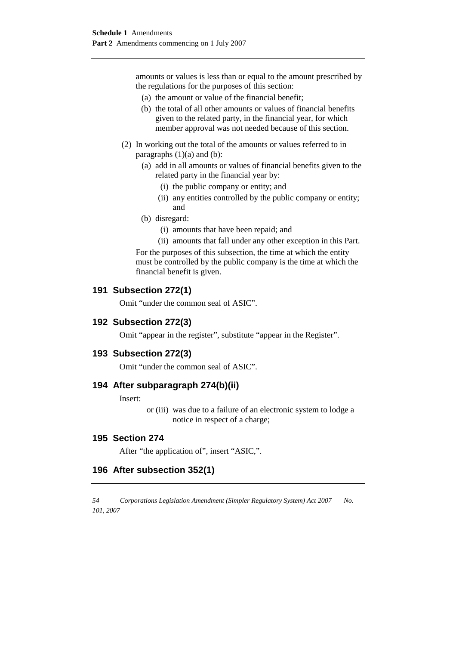amounts or values is less than or equal to the amount prescribed by the regulations for the purposes of this section:

- (a) the amount or value of the financial benefit;
- (b) the total of all other amounts or values of financial benefits given to the related party, in the financial year, for which member approval was not needed because of this section.
- (2) In working out the total of the amounts or values referred to in paragraphs  $(1)(a)$  and  $(b)$ :
	- (a) add in all amounts or values of financial benefits given to the related party in the financial year by:
		- (i) the public company or entity; and
		- (ii) any entities controlled by the public company or entity; and
	- (b) disregard:
		- (i) amounts that have been repaid; and
		- (ii) amounts that fall under any other exception in this Part.

For the purposes of this subsection, the time at which the entity must be controlled by the public company is the time at which the financial benefit is given.

#### **191 Subsection 272(1)**

Omit "under the common seal of ASIC".

#### **192 Subsection 272(3)**

Omit "appear in the register", substitute "appear in the Register".

#### **193 Subsection 272(3)**

Omit "under the common seal of ASIC".

#### **194 After subparagraph 274(b)(ii)**

Insert:

or (iii) was due to a failure of an electronic system to lodge a notice in respect of a charge;

#### **195 Section 274**

After "the application of", insert "ASIC,".

#### **196 After subsection 352(1)**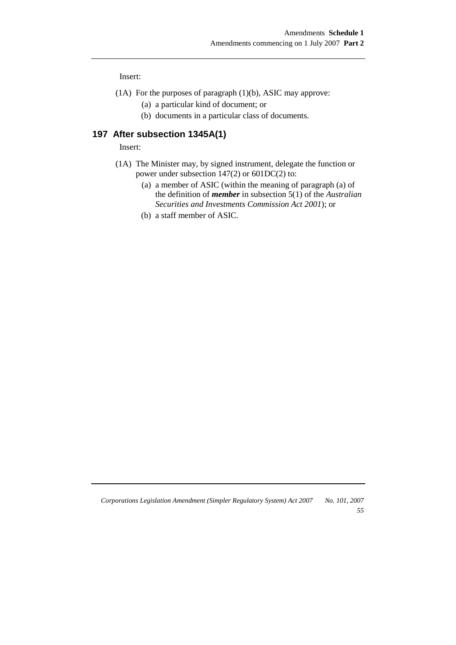Insert:

- (1A) For the purposes of paragraph (1)(b), ASIC may approve:
	- (a) a particular kind of document; or
	- (b) documents in a particular class of documents.

## **197 After subsection 1345A(1)**

Insert:

- (1A) The Minister may, by signed instrument, delegate the function or power under subsection 147(2) or 601DC(2) to:
	- (a) a member of ASIC (within the meaning of paragraph (a) of the definition of *member* in subsection 5(1) of the *Australian Securities and Investments Commission Act 2001*); or
	- (b) a staff member of ASIC.

*Corporations Legislation Amendment (Simpler Regulatory System) Act 2007 No. 101, 2007 55*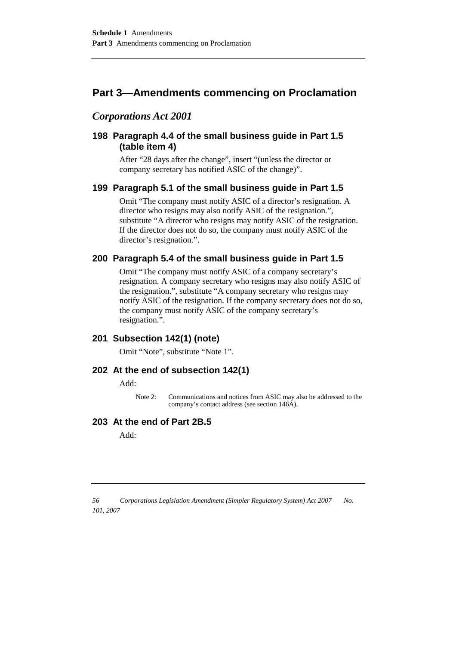## **Part 3—Amendments commencing on Proclamation**

## *Corporations Act 2001*

## **198 Paragraph 4.4 of the small business guide in Part 1.5 (table item 4)**

After "28 days after the change", insert "(unless the director or company secretary has notified ASIC of the change)".

## **199 Paragraph 5.1 of the small business guide in Part 1.5**

Omit "The company must notify ASIC of a director's resignation. A director who resigns may also notify ASIC of the resignation.", substitute "A director who resigns may notify ASIC of the resignation. If the director does not do so, the company must notify ASIC of the director's resignation.".

### **200 Paragraph 5.4 of the small business guide in Part 1.5**

Omit "The company must notify ASIC of a company secretary's resignation. A company secretary who resigns may also notify ASIC of the resignation.", substitute "A company secretary who resigns may notify ASIC of the resignation. If the company secretary does not do so, the company must notify ASIC of the company secretary's resignation.".

### **201 Subsection 142(1) (note)**

Omit "Note", substitute "Note 1".

#### **202 At the end of subsection 142(1)**

Add:

Note 2: Communications and notices from ASIC may also be addressed to the company's contact address (see section 146A).

#### **203 At the end of Part 2B.5**

Add: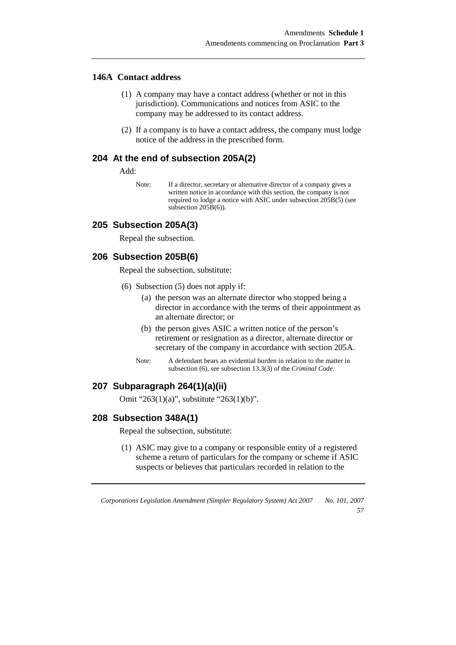#### **146A Contact address**

- (1) A company may have a contact address (whether or not in this jurisdiction). Communications and notices from ASIC to the company may be addressed to its contact address.
- (2) If a company is to have a contact address, the company must lodge notice of the address in the prescribed form.

#### **204 At the end of subsection 205A(2)**

Add:

Note: If a director, secretary or alternative director of a company gives a written notice in accordance with this section, the company is not required to lodge a notice with ASIC under subsection 205B(5) (see subsection 205B(6)).

#### **205 Subsection 205A(3)**

Repeal the subsection.

#### **206 Subsection 205B(6)**

Repeal the subsection, substitute:

- (6) Subsection (5) does not apply if:
	- (a) the person was an alternate director who stopped being a director in accordance with the terms of their appointment as an alternate director; or
	- (b) the person gives ASIC a written notice of the person's retirement or resignation as a director, alternate director or secretary of the company in accordance with section 205A.
	- Note: A defendant bears an evidential burden in relation to the matter in subsection (6), see subsection 13.3(3) of the *Criminal Code*.

#### **207 Subparagraph 264(1)(a)(ii)**

Omit "263(1)(a)", substitute "263(1)(b)".

#### **208 Subsection 348A(1)**

Repeal the subsection, substitute:

(1) ASIC may give to a company or responsible entity of a registered scheme a return of particulars for the company or scheme if ASIC suspects or believes that particulars recorded in relation to the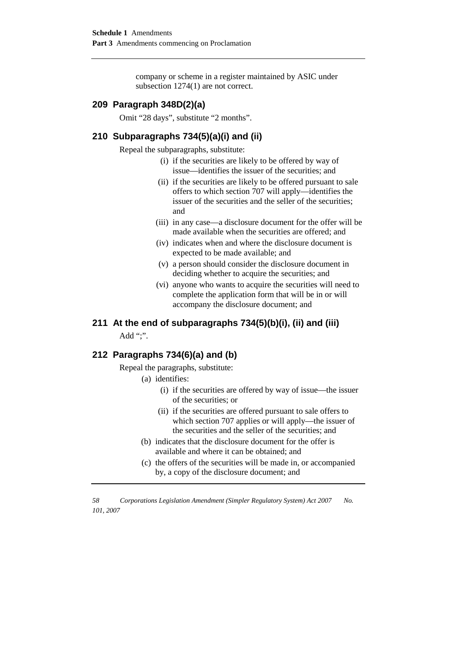company or scheme in a register maintained by ASIC under subsection  $1274(1)$  are not correct.

#### **209 Paragraph 348D(2)(a)**

Omit "28 days", substitute "2 months".

## **210 Subparagraphs 734(5)(a)(i) and (ii)**

Repeal the subparagraphs, substitute:

- (i) if the securities are likely to be offered by way of issue—identifies the issuer of the securities; and
- (ii) if the securities are likely to be offered pursuant to sale offers to which section 707 will apply—identifies the issuer of the securities and the seller of the securities; and
- (iii) in any case—a disclosure document for the offer will be made available when the securities are offered; and
- (iv) indicates when and where the disclosure document is expected to be made available; and
- (v) a person should consider the disclosure document in deciding whether to acquire the securities; and
- (vi) anyone who wants to acquire the securities will need to complete the application form that will be in or will accompany the disclosure document; and

## **211 At the end of subparagraphs 734(5)(b)(i), (ii) and (iii)**

Add ":".

#### **212 Paragraphs 734(6)(a) and (b)**

Repeal the paragraphs, substitute:

- (a) identifies:
	- (i) if the securities are offered by way of issue—the issuer of the securities; or
	- (ii) if the securities are offered pursuant to sale offers to which section 707 applies or will apply—the issuer of the securities and the seller of the securities; and
- (b) indicates that the disclosure document for the offer is available and where it can be obtained; and
- (c) the offers of the securities will be made in, or accompanied by, a copy of the disclosure document; and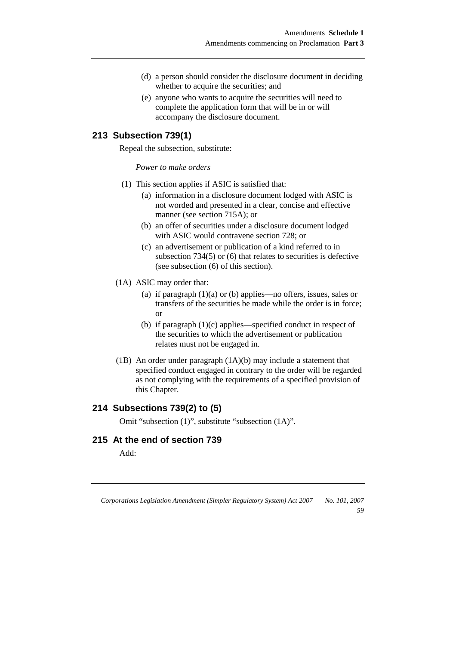- (d) a person should consider the disclosure document in deciding whether to acquire the securities; and
- (e) anyone who wants to acquire the securities will need to complete the application form that will be in or will accompany the disclosure document.

## **213 Subsection 739(1)**

Repeal the subsection, substitute:

*Power to make orders* 

- (1) This section applies if ASIC is satisfied that:
	- (a) information in a disclosure document lodged with ASIC is not worded and presented in a clear, concise and effective manner (see section 715A); or
	- (b) an offer of securities under a disclosure document lodged with ASIC would contravene section 728; or
	- (c) an advertisement or publication of a kind referred to in subsection 734(5) or (6) that relates to securities is defective (see subsection (6) of this section).
- (1A) ASIC may order that:
	- (a) if paragraph  $(1)(a)$  or (b) applies—no offers, issues, sales or transfers of the securities be made while the order is in force; or
	- (b) if paragraph (1)(c) applies—specified conduct in respect of the securities to which the advertisement or publication relates must not be engaged in.
- (1B) An order under paragraph (1A)(b) may include a statement that specified conduct engaged in contrary to the order will be regarded as not complying with the requirements of a specified provision of this Chapter.

## **214 Subsections 739(2) to (5)**

Omit "subsection (1)", substitute "subsection (1A)".

## **215 At the end of section 739**

Add:

*Corporations Legislation Amendment (Simpler Regulatory System) Act 2007 No. 101, 2007* 

*59*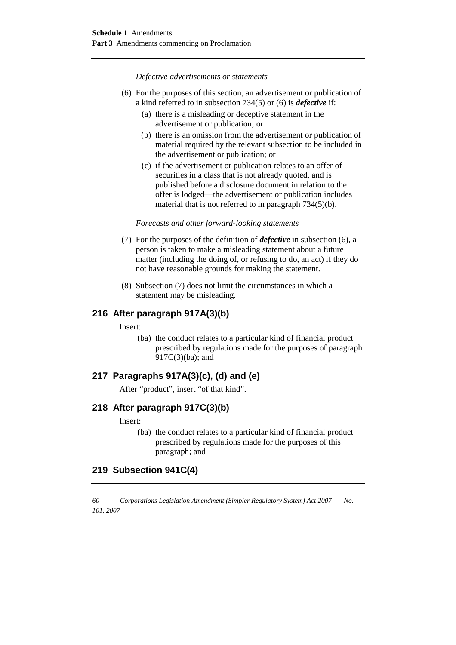*Defective advertisements or statements* 

- (6) For the purposes of this section, an advertisement or publication of a kind referred to in subsection 734(5) or (6) is *defective* if:
	- (a) there is a misleading or deceptive statement in the advertisement or publication; or
	- (b) there is an omission from the advertisement or publication of material required by the relevant subsection to be included in the advertisement or publication; or
	- (c) if the advertisement or publication relates to an offer of securities in a class that is not already quoted, and is published before a disclosure document in relation to the offer is lodged—the advertisement or publication includes material that is not referred to in paragraph 734(5)(b).

#### *Forecasts and other forward-looking statements*

- (7) For the purposes of the definition of *defective* in subsection (6), a person is taken to make a misleading statement about a future matter (including the doing of, or refusing to do, an act) if they do not have reasonable grounds for making the statement.
- (8) Subsection (7) does not limit the circumstances in which a statement may be misleading.

#### **216 After paragraph 917A(3)(b)**

Insert:

(ba) the conduct relates to a particular kind of financial product prescribed by regulations made for the purposes of paragraph 917C(3)(ba); and

### **217 Paragraphs 917A(3)(c), (d) and (e)**

After "product", insert "of that kind".

### **218 After paragraph 917C(3)(b)**

#### Insert:

(ba) the conduct relates to a particular kind of financial product prescribed by regulations made for the purposes of this paragraph; and

## **219 Subsection 941C(4)**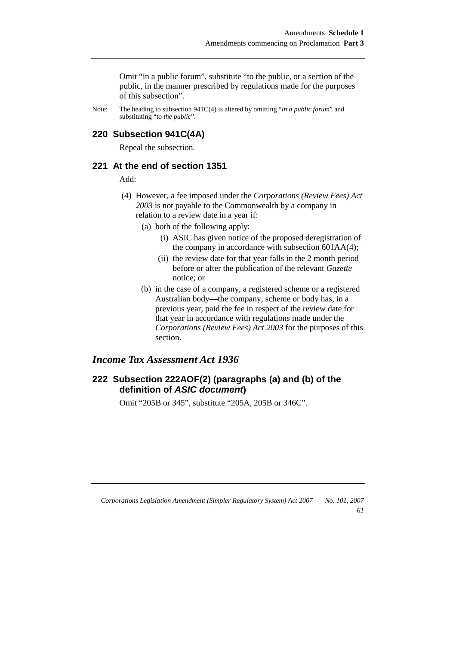Omit "in a public forum", substitute "to the public, or a section of the public, in the manner prescribed by regulations made for the purposes of this subsection".

Note: The heading to subsection 941C(4) is altered by omitting "*in a public forum*" and substituting "*to the public*".

#### **220 Subsection 941C(4A)**

Repeal the subsection.

### **221 At the end of section 1351**

Add:

- (4) However, a fee imposed under the *Corporations (Review Fees) Act 2003* is not payable to the Commonwealth by a company in relation to a review date in a year if:
	- (a) both of the following apply:
		- (i) ASIC has given notice of the proposed deregistration of the company in accordance with subsection 601AA(4);
		- (ii) the review date for that year falls in the 2 month period before or after the publication of the relevant *Gazette* notice; or
	- (b) in the case of a company, a registered scheme or a registered Australian body—the company, scheme or body has, in a previous year, paid the fee in respect of the review date for that year in accordance with regulations made under the *Corporations (Review Fees) Act 2003* for the purposes of this section.

## *Income Tax Assessment Act 1936*

## **222 Subsection 222AOF(2) (paragraphs (a) and (b) of the definition of ASIC document)**

Omit "205B or 345", substitute "205A, 205B or 346C".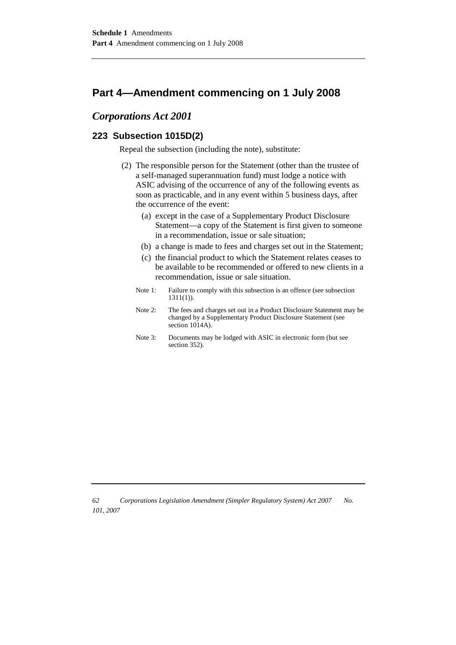## **Part 4—Amendment commencing on 1 July 2008**

## *Corporations Act 2001*

## **223 Subsection 1015D(2)**

Repeal the subsection (including the note), substitute:

- (2) The responsible person for the Statement (other than the trustee of a self-managed superannuation fund) must lodge a notice with ASIC advising of the occurrence of any of the following events as soon as practicable, and in any event within 5 business days, after the occurrence of the event:
	- (a) except in the case of a Supplementary Product Disclosure Statement—a copy of the Statement is first given to someone in a recommendation, issue or sale situation;
	- (b) a change is made to fees and charges set out in the Statement;
	- (c) the financial product to which the Statement relates ceases to be available to be recommended or offered to new clients in a recommendation, issue or sale situation.
	- Note 1: Failure to comply with this subsection is an offence (see subsection 1311(1)).
	- Note 2: The fees and charges set out in a Product Disclosure Statement may be changed by a Supplementary Product Disclosure Statement (see section 1014A).
	- Note 3: Documents may be lodged with ASIC in electronic form (but see section 352).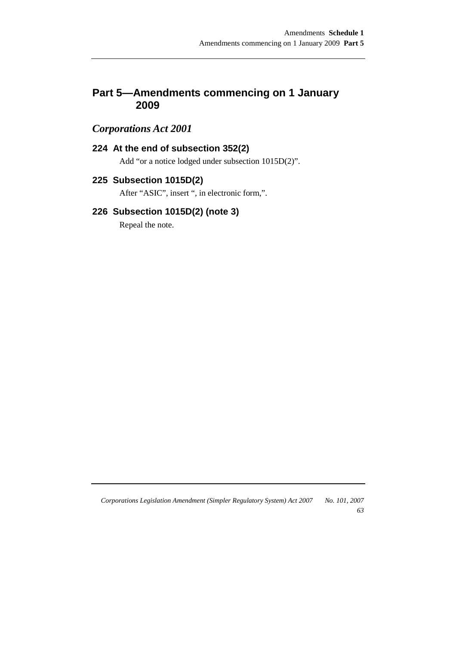## **Part 5—Amendments commencing on 1 January 2009**

## *Corporations Act 2001*

## **224 At the end of subsection 352(2)**

Add "or a notice lodged under subsection 1015D(2)".

## **225 Subsection 1015D(2)**

After "ASIC", insert ", in electronic form,".

## **226 Subsection 1015D(2) (note 3)**

Repeal the note.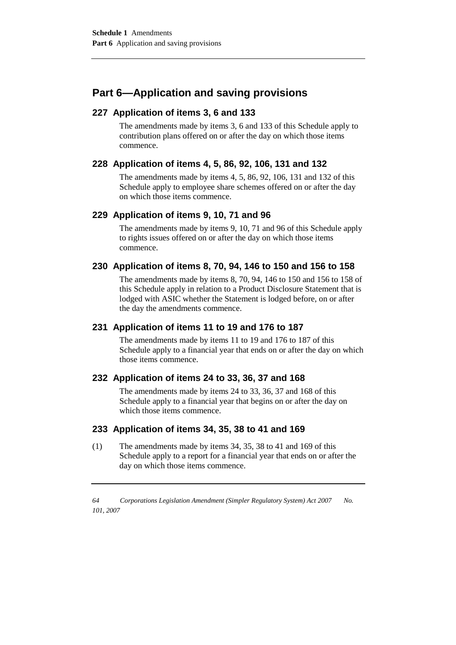## **Part 6—Application and saving provisions**

## **227 Application of items 3, 6 and 133**

The amendments made by items 3, 6 and 133 of this Schedule apply to contribution plans offered on or after the day on which those items commence.

## **228 Application of items 4, 5, 86, 92, 106, 131 and 132**

The amendments made by items 4, 5, 86, 92, 106, 131 and 132 of this Schedule apply to employee share schemes offered on or after the day on which those items commence.

## **229 Application of items 9, 10, 71 and 96**

The amendments made by items 9, 10, 71 and 96 of this Schedule apply to rights issues offered on or after the day on which those items commence.

### **230 Application of items 8, 70, 94, 146 to 150 and 156 to 158**

The amendments made by items 8, 70, 94, 146 to 150 and 156 to 158 of this Schedule apply in relation to a Product Disclosure Statement that is lodged with ASIC whether the Statement is lodged before, on or after the day the amendments commence.

## **231 Application of items 11 to 19 and 176 to 187**

The amendments made by items 11 to 19 and 176 to 187 of this Schedule apply to a financial year that ends on or after the day on which those items commence.

### **232 Application of items 24 to 33, 36, 37 and 168**

The amendments made by items 24 to 33, 36, 37 and 168 of this Schedule apply to a financial year that begins on or after the day on which those items commence.

### **233 Application of items 34, 35, 38 to 41 and 169**

(1) The amendments made by items 34, 35, 38 to 41 and 169 of this Schedule apply to a report for a financial year that ends on or after the day on which those items commence.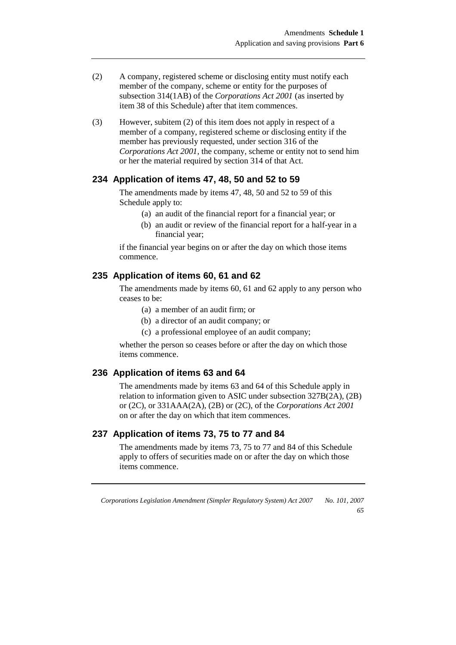- (2) A company, registered scheme or disclosing entity must notify each member of the company, scheme or entity for the purposes of subsection 314(1AB) of the *Corporations Act 2001* (as inserted by item 38 of this Schedule) after that item commences.
- (3) However, subitem (2) of this item does not apply in respect of a member of a company, registered scheme or disclosing entity if the member has previously requested, under section 316 of the *Corporations Act 2001*, the company, scheme or entity not to send him or her the material required by section 314 of that Act.

#### **234 Application of items 47, 48, 50 and 52 to 59**

The amendments made by items 47, 48, 50 and 52 to 59 of this Schedule apply to:

- (a) an audit of the financial report for a financial year; or
- (b) an audit or review of the financial report for a half-year in a financial year;

if the financial year begins on or after the day on which those items commence.

#### **235 Application of items 60, 61 and 62**

The amendments made by items 60, 61 and 62 apply to any person who ceases to be:

- (a) a member of an audit firm; or
- (b) a director of an audit company; or
- (c) a professional employee of an audit company;

whether the person so ceases before or after the day on which those items commence.

## **236 Application of items 63 and 64**

The amendments made by items 63 and 64 of this Schedule apply in relation to information given to ASIC under subsection 327B(2A), (2B) or (2C), or 331AAA(2A), (2B) or (2C), of the *Corporations Act 2001*  on or after the day on which that item commences.

#### **237 Application of items 73, 75 to 77 and 84**

The amendments made by items 73, 75 to 77 and 84 of this Schedule apply to offers of securities made on or after the day on which those items commence.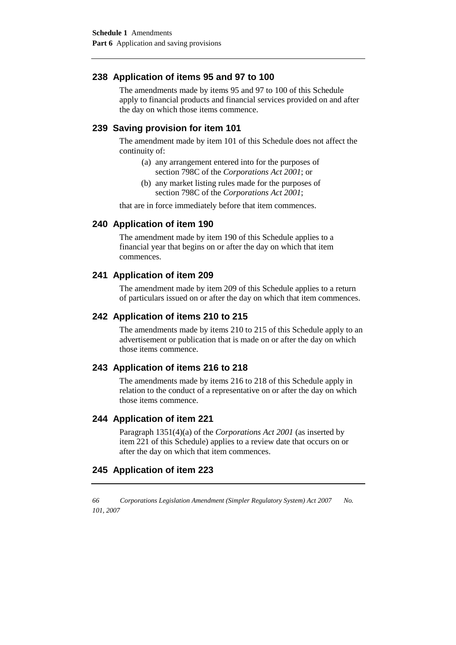## **238 Application of items 95 and 97 to 100**

The amendments made by items 95 and 97 to 100 of this Schedule apply to financial products and financial services provided on and after the day on which those items commence.

### **239 Saving provision for item 101**

The amendment made by item 101 of this Schedule does not affect the continuity of:

- (a) any arrangement entered into for the purposes of section 798C of the *Corporations Act 2001*; or
- (b) any market listing rules made for the purposes of section 798C of the *Corporations Act 2001*;

that are in force immediately before that item commences.

#### **240 Application of item 190**

The amendment made by item 190 of this Schedule applies to a financial year that begins on or after the day on which that item commences.

#### **241 Application of item 209**

The amendment made by item 209 of this Schedule applies to a return of particulars issued on or after the day on which that item commences.

## **242 Application of items 210 to 215**

The amendments made by items 210 to 215 of this Schedule apply to an advertisement or publication that is made on or after the day on which those items commence.

### **243 Application of items 216 to 218**

The amendments made by items 216 to 218 of this Schedule apply in relation to the conduct of a representative on or after the day on which those items commence.

### **244 Application of item 221**

Paragraph 1351(4)(a) of the *Corporations Act 2001* (as inserted by item 221 of this Schedule) applies to a review date that occurs on or after the day on which that item commences.

### **245 Application of item 223**